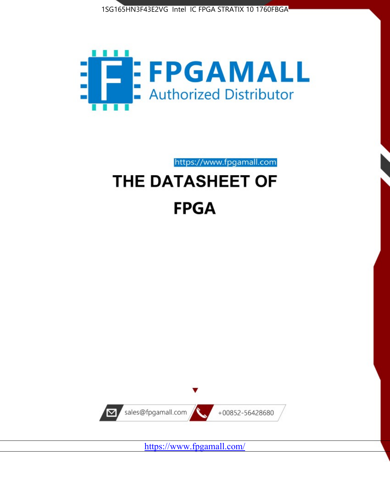



https://www.fpgamall.com

# THE DATASHEET OF **FPGA**



<https://www.fpgamall.com/>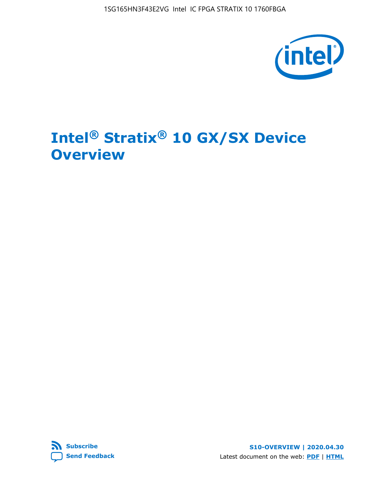1SG165HN3F43E2VG Intel IC FPGA STRATIX 10 1760FBGA



# **Intel® Stratix® 10 GX/SX Device Overview**



**S10-OVERVIEW | 2020.04.30** Latest document on the web: **[PDF](https://www.intel.com/content/dam/www/programmable/us/en/pdfs/literature/hb/stratix-10/s10-overview.pdf)** | **[HTML](https://www.intel.com/content/www/us/en/programmable/documentation/joc1442261161666.html)**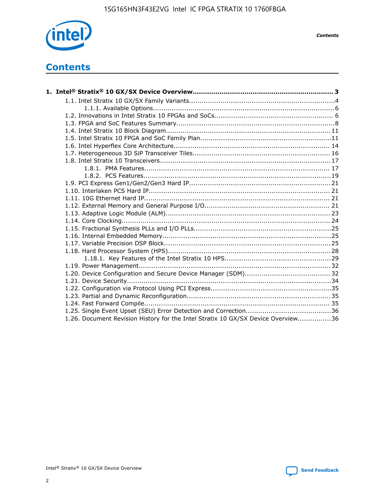

*Contents*

# **Contents**

| 1.26. Document Revision History for the Intel Stratix 10 GX/SX Device Overview36 |  |
|----------------------------------------------------------------------------------|--|

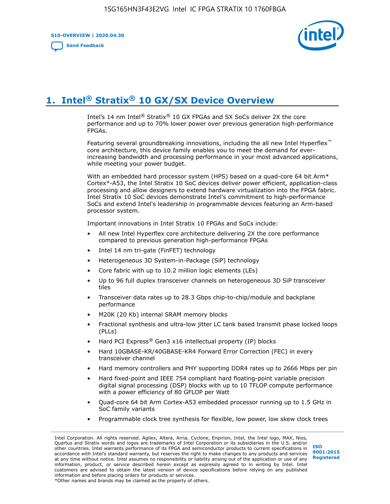**S10-OVERVIEW | 2020.04.30**

**[Send Feedback](mailto:FPGAtechdocfeedback@intel.com?subject=Feedback%20on%20Intel%20Stratix%2010%20GX/SX%20Device%20Overview%20(S10-OVERVIEW%202020.04.30)&body=We%20appreciate%20your%20feedback.%20In%20your%20comments,%20also%20specify%20the%20page%20number%20or%20paragraph.%20Thank%20you.)**



# **1. Intel® Stratix® 10 GX/SX Device Overview**

Intel's 14 nm Intel® Stratix® 10 GX FPGAs and SX SoCs deliver 2X the core performance and up to 70% lower power over previous generation high-performance FPGAs.

Featuring several groundbreaking innovations, including the all new Intel Hyperflex™ core architecture, this device family enables you to meet the demand for everincreasing bandwidth and processing performance in your most advanced applications, while meeting your power budget.

With an embedded hard processor system (HPS) based on a quad-core 64 bit Arm\* Cortex\*-A53, the Intel Stratix 10 SoC devices deliver power efficient, application-class processing and allow designers to extend hardware virtualization into the FPGA fabric. Intel Stratix 10 SoC devices demonstrate Intel's commitment to high-performance SoCs and extend Intel's leadership in programmable devices featuring an Arm-based processor system.

Important innovations in Intel Stratix 10 FPGAs and SoCs include:

- All new Intel Hyperflex core architecture delivering 2X the core performance compared to previous generation high-performance FPGAs
- Intel 14 nm tri-gate (FinFET) technology
- Heterogeneous 3D System-in-Package (SiP) technology
- Core fabric with up to 10.2 million logic elements (LEs)
- Up to 96 full duplex transceiver channels on heterogeneous 3D SiP transceiver tiles
- Transceiver data rates up to 28.3 Gbps chip-to-chip/module and backplane performance
- M20K (20 Kb) internal SRAM memory blocks
- Fractional synthesis and ultra-low jitter LC tank based transmit phase locked loops (PLLs)
- Hard PCI Express<sup>®</sup> Gen3 x16 intellectual property (IP) blocks
- Hard 10GBASE-KR/40GBASE-KR4 Forward Error Correction (FEC) in every transceiver channel
- Hard memory controllers and PHY supporting DDR4 rates up to 2666 Mbps per pin
- Hard fixed-point and IEEE 754 compliant hard floating-point variable precision digital signal processing (DSP) blocks with up to 10 TFLOP compute performance with a power efficiency of 80 GFLOP per Watt
- Quad-core 64 bit Arm Cortex-A53 embedded processor running up to 1.5 GHz in SoC family variants
- Programmable clock tree synthesis for flexible, low power, low skew clock trees

Intel Corporation. All rights reserved. Agilex, Altera, Arria, Cyclone, Enpirion, Intel, the Intel logo, MAX, Nios, Quartus and Stratix words and logos are trademarks of Intel Corporation or its subsidiaries in the U.S. and/or other countries. Intel warrants performance of its FPGA and semiconductor products to current specifications in accordance with Intel's standard warranty, but reserves the right to make changes to any products and services at any time without notice. Intel assumes no responsibility or liability arising out of the application or use of any information, product, or service described herein except as expressly agreed to in writing by Intel. Intel customers are advised to obtain the latest version of device specifications before relying on any published information and before placing orders for products or services. \*Other names and brands may be claimed as the property of others.

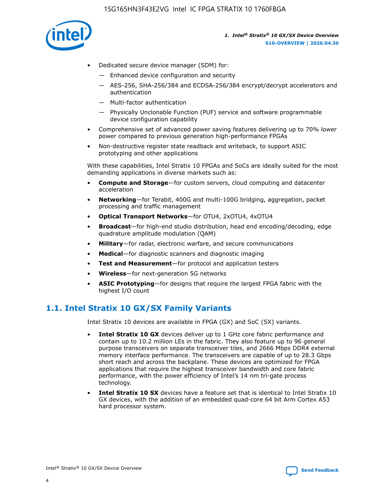

- Dedicated secure device manager (SDM) for:
	- Enhanced device configuration and security
	- AES-256, SHA-256/384 and ECDSA-256/384 encrypt/decrypt accelerators and authentication
	- Multi-factor authentication
	- Physically Unclonable Function (PUF) service and software programmable device configuration capability
- Comprehensive set of advanced power saving features delivering up to 70% lower power compared to previous generation high-performance FPGAs
- Non-destructive register state readback and writeback, to support ASIC prototyping and other applications

With these capabilities, Intel Stratix 10 FPGAs and SoCs are ideally suited for the most demanding applications in diverse markets such as:

- **Compute and Storage**—for custom servers, cloud computing and datacenter acceleration
- **Networking**—for Terabit, 400G and multi-100G bridging, aggregation, packet processing and traffic management
- **Optical Transport Networks**—for OTU4, 2xOTU4, 4xOTU4
- **Broadcast**—for high-end studio distribution, head end encoding/decoding, edge quadrature amplitude modulation (QAM)
- **Military**—for radar, electronic warfare, and secure communications
- **Medical**—for diagnostic scanners and diagnostic imaging
- **Test and Measurement**—for protocol and application testers
- **Wireless**—for next-generation 5G networks
- **ASIC Prototyping**—for designs that require the largest FPGA fabric with the highest I/O count

## **1.1. Intel Stratix 10 GX/SX Family Variants**

Intel Stratix 10 devices are available in FPGA (GX) and SoC (SX) variants.

- **Intel Stratix 10 GX** devices deliver up to 1 GHz core fabric performance and contain up to 10.2 million LEs in the fabric. They also feature up to 96 general purpose transceivers on separate transceiver tiles, and 2666 Mbps DDR4 external memory interface performance. The transceivers are capable of up to 28.3 Gbps short reach and across the backplane. These devices are optimized for FPGA applications that require the highest transceiver bandwidth and core fabric performance, with the power efficiency of Intel's 14 nm tri-gate process technology.
- **Intel Stratix 10 SX** devices have a feature set that is identical to Intel Stratix 10 GX devices, with the addition of an embedded quad-core 64 bit Arm Cortex A53 hard processor system.

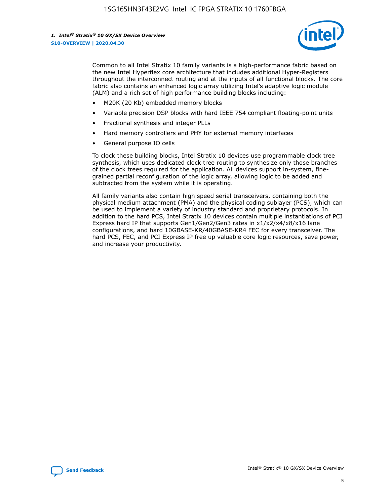

Common to all Intel Stratix 10 family variants is a high-performance fabric based on the new Intel Hyperflex core architecture that includes additional Hyper-Registers throughout the interconnect routing and at the inputs of all functional blocks. The core fabric also contains an enhanced logic array utilizing Intel's adaptive logic module (ALM) and a rich set of high performance building blocks including:

- M20K (20 Kb) embedded memory blocks
- Variable precision DSP blocks with hard IEEE 754 compliant floating-point units
- Fractional synthesis and integer PLLs
- Hard memory controllers and PHY for external memory interfaces
- General purpose IO cells

To clock these building blocks, Intel Stratix 10 devices use programmable clock tree synthesis, which uses dedicated clock tree routing to synthesize only those branches of the clock trees required for the application. All devices support in-system, finegrained partial reconfiguration of the logic array, allowing logic to be added and subtracted from the system while it is operating.

All family variants also contain high speed serial transceivers, containing both the physical medium attachment (PMA) and the physical coding sublayer (PCS), which can be used to implement a variety of industry standard and proprietary protocols. In addition to the hard PCS, Intel Stratix 10 devices contain multiple instantiations of PCI Express hard IP that supports Gen1/Gen2/Gen3 rates in x1/x2/x4/x8/x16 lane configurations, and hard 10GBASE-KR/40GBASE-KR4 FEC for every transceiver. The hard PCS, FEC, and PCI Express IP free up valuable core logic resources, save power, and increase your productivity.

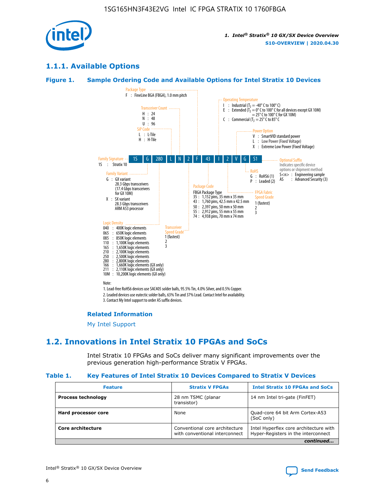

## **1.1.1. Available Options**

## **Figure 1. Sample Ordering Code and Available Options for Intel Stratix 10 Devices**



3. Contact My Intel support to order AS suffix devices.

#### **Related Information**

[My Intel Support](https://www.intel.com/content/www/us/en/programmable/my-intel/mal-home.html)

## **1.2. Innovations in Intel Stratix 10 FPGAs and SoCs**

Intel Stratix 10 FPGAs and SoCs deliver many significant improvements over the previous generation high-performance Stratix V FPGAs.

#### **Table 1. Key Features of Intel Stratix 10 Devices Compared to Stratix V Devices**

| <b>Feature</b>            | <b>Stratix V FPGAs</b>                                           | <b>Intel Stratix 10 FPGAs and SoCs</b>                                        |  |
|---------------------------|------------------------------------------------------------------|-------------------------------------------------------------------------------|--|
| <b>Process technology</b> | 28 nm TSMC (planar<br>transistor)                                | 14 nm Intel tri-gate (FinFET)                                                 |  |
| Hard processor core       | None                                                             | Quad-core 64 bit Arm Cortex-A53<br>(SoC only)                                 |  |
| Core architecture         | Conventional core architecture<br>with conventional interconnect | Intel Hyperflex core architecture with<br>Hyper-Registers in the interconnect |  |
|                           |                                                                  | continued                                                                     |  |

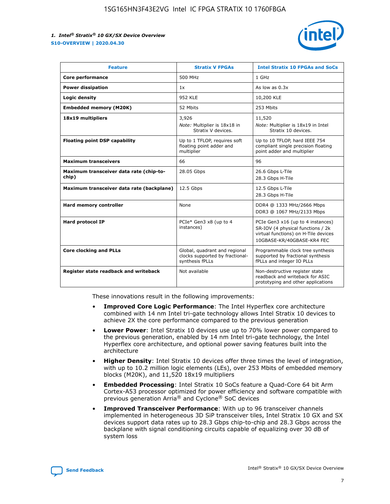

| <b>Feature</b>                                   | <b>Stratix V FPGAs</b>                                                              | <b>Intel Stratix 10 FPGAs and SoCs</b>                                                                                                       |
|--------------------------------------------------|-------------------------------------------------------------------------------------|----------------------------------------------------------------------------------------------------------------------------------------------|
| Core performance                                 | 500 MHz                                                                             | 1 GHz                                                                                                                                        |
| <b>Power dissipation</b>                         | 1x                                                                                  | As low as $0.3x$                                                                                                                             |
| Logic density                                    | 952 KLE                                                                             | 10,200 KLE                                                                                                                                   |
| <b>Embedded memory (M20K)</b>                    | 52 Mbits                                                                            | 253 Mbits                                                                                                                                    |
| 18x19 multipliers                                | 3,926                                                                               | 11,520                                                                                                                                       |
|                                                  | Note: Multiplier is 18x18 in<br>Stratix V devices.                                  | Note: Multiplier is 18x19 in Intel<br>Stratix 10 devices.                                                                                    |
| <b>Floating point DSP capability</b>             | Up to 1 TFLOP, requires soft<br>floating point adder and<br>multiplier              | Up to 10 TFLOP, hard IEEE 754<br>compliant single precision floating<br>point adder and multiplier                                           |
| <b>Maximum transceivers</b>                      | 66                                                                                  | 96                                                                                                                                           |
| Maximum transceiver data rate (chip-to-<br>chip) | 28.05 Gbps                                                                          | 26.6 Gbps L-Tile<br>28.3 Gbps H-Tile                                                                                                         |
| Maximum transceiver data rate (backplane)        | 12.5 Gbps                                                                           | 12.5 Gbps L-Tile<br>28.3 Gbps H-Tile                                                                                                         |
| Hard memory controller                           | None                                                                                | DDR4 @ 1333 MHz/2666 Mbps<br>DDR3 @ 1067 MHz/2133 Mbps                                                                                       |
| <b>Hard protocol IP</b>                          | PCIe* Gen3 x8 (up to 4<br>instances)                                                | PCIe Gen3 x16 (up to 4 instances)<br>SR-IOV (4 physical functions / 2k<br>virtual functions) on H-Tile devices<br>10GBASE-KR/40GBASE-KR4 FEC |
| <b>Core clocking and PLLs</b>                    | Global, quadrant and regional<br>clocks supported by fractional-<br>synthesis fPLLs | Programmable clock tree synthesis<br>supported by fractional synthesis<br>fPLLs and integer IO PLLs                                          |
| Register state readback and writeback            | Not available                                                                       | Non-destructive register state<br>readback and writeback for ASIC<br>prototyping and other applications                                      |

These innovations result in the following improvements:

- **Improved Core Logic Performance**: The Intel Hyperflex core architecture combined with 14 nm Intel tri-gate technology allows Intel Stratix 10 devices to achieve 2X the core performance compared to the previous generation
- **Lower Power**: Intel Stratix 10 devices use up to 70% lower power compared to the previous generation, enabled by 14 nm Intel tri-gate technology, the Intel Hyperflex core architecture, and optional power saving features built into the architecture
- **Higher Density**: Intel Stratix 10 devices offer three times the level of integration, with up to 10.2 million logic elements (LEs), over 253 Mbits of embedded memory blocks (M20K), and 11,520 18x19 multipliers
- **Embedded Processing**: Intel Stratix 10 SoCs feature a Quad-Core 64 bit Arm Cortex-A53 processor optimized for power efficiency and software compatible with previous generation Arria® and Cyclone® SoC devices
- **Improved Transceiver Performance**: With up to 96 transceiver channels implemented in heterogeneous 3D SiP transceiver tiles, Intel Stratix 10 GX and SX devices support data rates up to 28.3 Gbps chip-to-chip and 28.3 Gbps across the backplane with signal conditioning circuits capable of equalizing over 30 dB of system loss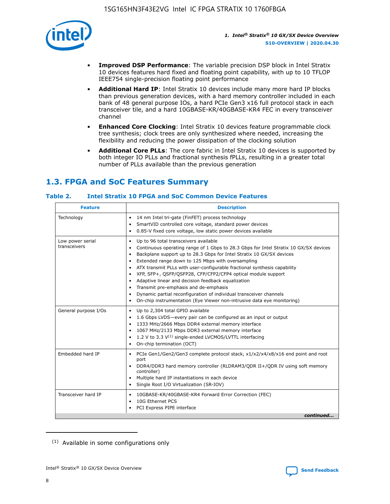

- **Improved DSP Performance**: The variable precision DSP block in Intel Stratix 10 devices features hard fixed and floating point capability, with up to 10 TFLOP IEEE754 single-precision floating point performance
- **Additional Hard IP**: Intel Stratix 10 devices include many more hard IP blocks than previous generation devices, with a hard memory controller included in each bank of 48 general purpose IOs, a hard PCIe Gen3 x16 full protocol stack in each transceiver tile, and a hard 10GBASE-KR/40GBASE-KR4 FEC in every transceiver channel
- **Enhanced Core Clocking**: Intel Stratix 10 devices feature programmable clock tree synthesis; clock trees are only synthesized where needed, increasing the flexibility and reducing the power dissipation of the clocking solution
- **Additional Core PLLs**: The core fabric in Intel Stratix 10 devices is supported by both integer IO PLLs and fractional synthesis fPLLs, resulting in a greater total number of PLLs available than the previous generation

## **1.3. FPGA and SoC Features Summary**

## **Table 2. Intel Stratix 10 FPGA and SoC Common Device Features**

| Technology<br>14 nm Intel tri-gate (FinFET) process technology<br>٠<br>SmartVID controlled core voltage, standard power devices<br>0.85-V fixed core voltage, low static power devices available<br>Up to 96 total transceivers available<br>Low power serial<br>٠<br>transceivers<br>Continuous operating range of 1 Gbps to 28.3 Gbps for Intel Stratix 10 GX/SX devices<br>Backplane support up to 28.3 Gbps for Intel Stratix 10 GX/SX devices<br>$\bullet$<br>Extended range down to 125 Mbps with oversampling<br>$\bullet$<br>• ATX transmit PLLs with user-configurable fractional synthesis capability<br>XFP, SFP+, QSFP/QSFP28, CFP/CFP2/CFP4 optical module support<br>• Adaptive linear and decision feedback equalization<br>Transmit pre-emphasis and de-emphasis<br>Dynamic partial reconfiguration of individual transceiver channels<br>$\bullet$<br>On-chip instrumentation (Eye Viewer non-intrusive data eye monitoring)<br>General purpose I/Os<br>Up to 2,304 total GPIO available<br>$\bullet$<br>1.6 Gbps LVDS-every pair can be configured as an input or output<br>1333 MHz/2666 Mbps DDR4 external memory interface<br>1067 MHz/2133 Mbps DDR3 external memory interface<br>• 1.2 V to 3.3 $V^{(1)}$ single-ended LVCMOS/LVTTL interfacing<br>• On-chip termination (OCT)<br>Embedded hard IP<br>PCIe Gen1/Gen2/Gen3 complete protocol stack, x1/x2/x4/x8/x16 end point and root<br>$\bullet$<br>port<br>DDR4/DDR3 hard memory controller (RLDRAM3/QDR II+/QDR IV using soft memory<br>controller)<br>Multiple hard IP instantiations in each device<br>• Single Root I/O Virtualization (SR-IOV)<br>Transceiver hard IP<br>10GBASE-KR/40GBASE-KR4 Forward Error Correction (FEC)<br>$\bullet$<br>10G Ethernet PCS<br>$\bullet$ | <b>Feature</b> | <b>Description</b> |
|-------------------------------------------------------------------------------------------------------------------------------------------------------------------------------------------------------------------------------------------------------------------------------------------------------------------------------------------------------------------------------------------------------------------------------------------------------------------------------------------------------------------------------------------------------------------------------------------------------------------------------------------------------------------------------------------------------------------------------------------------------------------------------------------------------------------------------------------------------------------------------------------------------------------------------------------------------------------------------------------------------------------------------------------------------------------------------------------------------------------------------------------------------------------------------------------------------------------------------------------------------------------------------------------------------------------------------------------------------------------------------------------------------------------------------------------------------------------------------------------------------------------------------------------------------------------------------------------------------------------------------------------------------------------------------------------------------------------------------------------------------------|----------------|--------------------|
|                                                                                                                                                                                                                                                                                                                                                                                                                                                                                                                                                                                                                                                                                                                                                                                                                                                                                                                                                                                                                                                                                                                                                                                                                                                                                                                                                                                                                                                                                                                                                                                                                                                                                                                                                             |                |                    |
|                                                                                                                                                                                                                                                                                                                                                                                                                                                                                                                                                                                                                                                                                                                                                                                                                                                                                                                                                                                                                                                                                                                                                                                                                                                                                                                                                                                                                                                                                                                                                                                                                                                                                                                                                             |                |                    |
|                                                                                                                                                                                                                                                                                                                                                                                                                                                                                                                                                                                                                                                                                                                                                                                                                                                                                                                                                                                                                                                                                                                                                                                                                                                                                                                                                                                                                                                                                                                                                                                                                                                                                                                                                             |                |                    |
|                                                                                                                                                                                                                                                                                                                                                                                                                                                                                                                                                                                                                                                                                                                                                                                                                                                                                                                                                                                                                                                                                                                                                                                                                                                                                                                                                                                                                                                                                                                                                                                                                                                                                                                                                             |                |                    |
| PCI Express PIPE interface<br>continued                                                                                                                                                                                                                                                                                                                                                                                                                                                                                                                                                                                                                                                                                                                                                                                                                                                                                                                                                                                                                                                                                                                                                                                                                                                                                                                                                                                                                                                                                                                                                                                                                                                                                                                     |                |                    |

<sup>(1)</sup> Available in some configurations only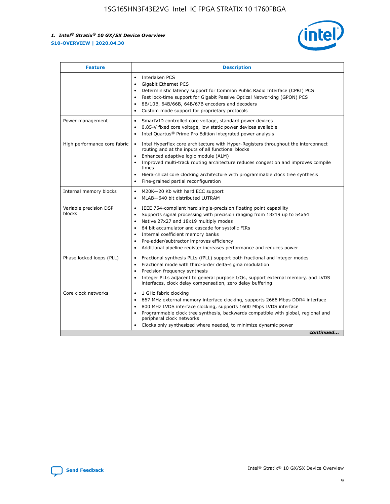

| <b>Feature</b>                   | <b>Description</b>                                                                                                                                                                                                                                                                                                                                                                                                                                            |  |  |  |
|----------------------------------|---------------------------------------------------------------------------------------------------------------------------------------------------------------------------------------------------------------------------------------------------------------------------------------------------------------------------------------------------------------------------------------------------------------------------------------------------------------|--|--|--|
|                                  | Interlaken PCS<br>$\bullet$<br>Gigabit Ethernet PCS<br>$\bullet$<br>Deterministic latency support for Common Public Radio Interface (CPRI) PCS<br>$\bullet$<br>Fast lock-time support for Gigabit Passive Optical Networking (GPON) PCS<br>٠<br>8B/10B, 64B/66B, 64B/67B encoders and decoders<br>Custom mode support for proprietary protocols<br>۰                                                                                                          |  |  |  |
| Power management                 | SmartVID controlled core voltage, standard power devices<br>$\bullet$<br>0.85-V fixed core voltage, low static power devices available<br>$\bullet$<br>Intel Quartus <sup>®</sup> Prime Pro Edition integrated power analysis<br>٠                                                                                                                                                                                                                            |  |  |  |
| High performance core fabric     | Intel Hyperflex core architecture with Hyper-Registers throughout the interconnect<br>routing and at the inputs of all functional blocks<br>Enhanced adaptive logic module (ALM)<br>Improved multi-track routing architecture reduces congestion and improves compile<br>times<br>Hierarchical core clocking architecture with programmable clock tree synthesis<br>$\bullet$<br>Fine-grained partial reconfiguration                                         |  |  |  |
| Internal memory blocks           | M20K-20 Kb with hard ECC support<br>٠<br>MLAB-640 bit distributed LUTRAM<br>$\bullet$                                                                                                                                                                                                                                                                                                                                                                         |  |  |  |
| Variable precision DSP<br>blocks | IEEE 754-compliant hard single-precision floating point capability<br>$\bullet$<br>Supports signal processing with precision ranging from 18x19 up to 54x54<br>$\bullet$<br>Native 27x27 and 18x19 multiply modes<br>٠<br>64 bit accumulator and cascade for systolic FIRs<br>Internal coefficient memory banks<br>Pre-adder/subtractor improves efficiency<br>$\bullet$<br>Additional pipeline register increases performance and reduces power<br>$\bullet$ |  |  |  |
| Phase locked loops (PLL)         | Fractional synthesis PLLs (fPLL) support both fractional and integer modes<br>$\bullet$<br>Fractional mode with third-order delta-sigma modulation<br>Precision frequency synthesis<br>$\bullet$<br>Integer PLLs adjacent to general purpose I/Os, support external memory, and LVDS<br>$\bullet$<br>interfaces, clock delay compensation, zero delay buffering                                                                                               |  |  |  |
| Core clock networks              | 1 GHz fabric clocking<br>٠<br>667 MHz external memory interface clocking, supports 2666 Mbps DDR4 interface<br>$\bullet$<br>800 MHz LVDS interface clocking, supports 1600 Mbps LVDS interface<br>$\bullet$<br>Programmable clock tree synthesis, backwards compatible with global, regional and<br>$\bullet$<br>peripheral clock networks<br>Clocks only synthesized where needed, to minimize dynamic power<br>continued                                    |  |  |  |

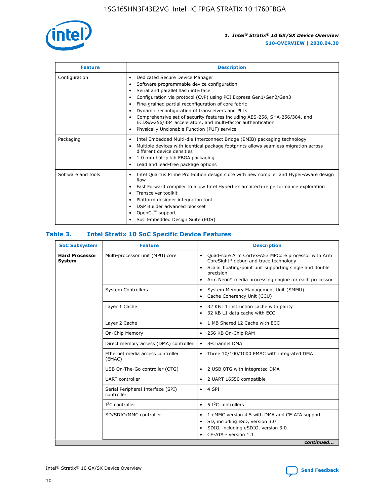

| <b>Feature</b>     | <b>Description</b>                                                                                                                                                                                                                                                                                                                                                                                                                                                                                                    |
|--------------------|-----------------------------------------------------------------------------------------------------------------------------------------------------------------------------------------------------------------------------------------------------------------------------------------------------------------------------------------------------------------------------------------------------------------------------------------------------------------------------------------------------------------------|
| Configuration      | Dedicated Secure Device Manager<br>٠<br>Software programmable device configuration<br>٠<br>Serial and parallel flash interface<br>٠<br>Configuration via protocol (CvP) using PCI Express Gen1/Gen2/Gen3<br>Fine-grained partial reconfiguration of core fabric<br>Dynamic reconfiguration of transceivers and PLLs<br>٠<br>Comprehensive set of security features including AES-256, SHA-256/384, and<br>ECDSA-256/384 accelerators, and multi-factor authentication<br>Physically Unclonable Function (PUF) service |
| Packaging          | Intel Embedded Multi-die Interconnect Bridge (EMIB) packaging technology<br>٠<br>Multiple devices with identical package footprints allows seamless migration across<br>٠<br>different device densities<br>1.0 mm ball-pitch FBGA packaging<br>٠<br>Lead and lead-free package options                                                                                                                                                                                                                                |
| Software and tools | Intel Quartus Prime Pro Edition design suite with new compiler and Hyper-Aware design<br>flow<br>Fast Forward compiler to allow Intel Hyperflex architecture performance exploration<br>٠<br>Transceiver toolkit<br>Platform designer integration tool<br>DSP Builder advanced blockset<br>OpenCL <sup>™</sup> support<br>SoC Embedded Design Suite (EDS)                                                                                                                                                             |

## **Table 3. Intel Stratix 10 SoC Specific Device Features**

| <b>SoC Subsystem</b>            | <b>Feature</b>                                  | <b>Description</b>                                                                                                                                                                                                                                                 |  |  |
|---------------------------------|-------------------------------------------------|--------------------------------------------------------------------------------------------------------------------------------------------------------------------------------------------------------------------------------------------------------------------|--|--|
| <b>Hard Processor</b><br>System | Multi-processor unit (MPU) core                 | Quad-core Arm Cortex-A53 MPCore processor with Arm<br>$\bullet$<br>CoreSight* debug and trace technology<br>Scalar floating-point unit supporting single and double<br>$\bullet$<br>precision<br>Arm Neon* media processing engine for each processor<br>$\bullet$ |  |  |
|                                 | <b>System Controllers</b>                       | System Memory Management Unit (SMMU)<br>$\bullet$<br>Cache Coherency Unit (CCU)<br>$\bullet$                                                                                                                                                                       |  |  |
|                                 | Layer 1 Cache                                   | 32 KB L1 instruction cache with parity<br>$\bullet$<br>32 KB L1 data cache with ECC<br>$\bullet$                                                                                                                                                                   |  |  |
|                                 | Layer 2 Cache                                   | 1 MB Shared L2 Cache with ECC<br>$\bullet$                                                                                                                                                                                                                         |  |  |
|                                 | On-Chip Memory                                  | 256 KB On-Chip RAM<br>٠                                                                                                                                                                                                                                            |  |  |
|                                 | Direct memory access (DMA) controller           | 8-Channel DMA<br>$\bullet$                                                                                                                                                                                                                                         |  |  |
|                                 | Ethernet media access controller<br>(EMAC)      | Three 10/100/1000 EMAC with integrated DMA<br>$\bullet$                                                                                                                                                                                                            |  |  |
|                                 | USB On-The-Go controller (OTG)                  | 2 USB OTG with integrated DMA<br>$\bullet$                                                                                                                                                                                                                         |  |  |
|                                 | <b>UART</b> controller                          | 2 UART 16550 compatible<br>$\bullet$                                                                                                                                                                                                                               |  |  |
|                                 | Serial Peripheral Interface (SPI)<br>controller | 4 SPI<br>$\bullet$                                                                                                                                                                                                                                                 |  |  |
|                                 | $I2C$ controller                                | 5 I <sup>2</sup> C controllers<br>$\bullet$                                                                                                                                                                                                                        |  |  |
|                                 | SD/SDIO/MMC controller                          | 1 eMMC version 4.5 with DMA and CE-ATA support<br>$\bullet$<br>SD, including eSD, version 3.0<br>$\bullet$<br>SDIO, including eSDIO, version 3.0<br>$\bullet$<br>CE-ATA - version 1.1                                                                              |  |  |
|                                 |                                                 | continued                                                                                                                                                                                                                                                          |  |  |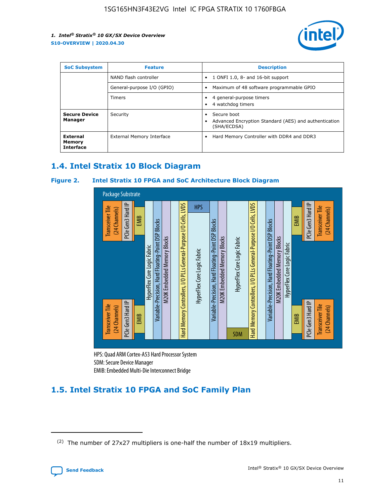

| <b>SoC Subsystem</b>                   | <b>Feature</b>             | <b>Description</b>                                                                               |  |  |
|----------------------------------------|----------------------------|--------------------------------------------------------------------------------------------------|--|--|
|                                        | NAND flash controller      | 1 ONFI 1.0, 8- and 16-bit support<br>$\bullet$                                                   |  |  |
|                                        | General-purpose I/O (GPIO) | Maximum of 48 software programmable GPIO<br>$\bullet$                                            |  |  |
|                                        | <b>Timers</b>              | 4 general-purpose timers<br>4 watchdog timers                                                    |  |  |
| <b>Secure Device</b><br>Manager        | Security                   | Secure boot<br>$\bullet$<br>Advanced Encryption Standard (AES) and authentication<br>(SHA/ECDSA) |  |  |
| External<br>Memory<br><b>Interface</b> | External Memory Interface  | Hard Memory Controller with DDR4 and DDR3<br>$\bullet$                                           |  |  |

## **1.4. Intel Stratix 10 Block Diagram**

## **Figure 2. Intel Stratix 10 FPGA and SoC Architecture Block Diagram**



HPS: Quad ARM Cortex-A53 Hard Processor System SDM: Secure Device Manager

## **1.5. Intel Stratix 10 FPGA and SoC Family Plan**

<sup>(2)</sup> The number of 27x27 multipliers is one-half the number of 18x19 multipliers.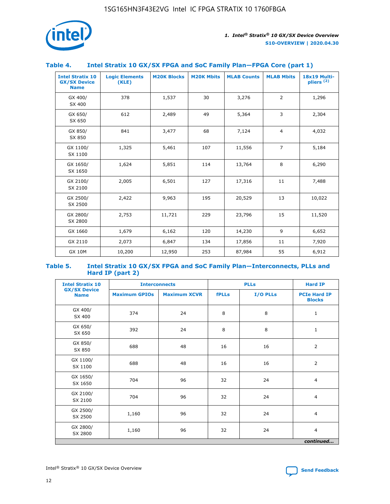

## **Table 4. Intel Stratix 10 GX/SX FPGA and SoC Family Plan—FPGA Core (part 1)**

| <b>Intel Stratix 10</b><br><b>GX/SX Device</b><br><b>Name</b> | <b>Logic Elements</b><br>(KLE) | <b>M20K Blocks</b> | <b>M20K Mbits</b> | <b>MLAB Counts</b> | <b>MLAB Mbits</b> | 18x19 Multi-<br>$p$ liers $(2)$ |
|---------------------------------------------------------------|--------------------------------|--------------------|-------------------|--------------------|-------------------|---------------------------------|
| GX 400/<br>SX 400                                             | 378                            | 1,537              | 30                | 3,276              | 2                 | 1,296                           |
| GX 650/<br>SX 650                                             | 612                            | 2,489              | 49                | 5,364              | 3                 | 2,304                           |
| GX 850/<br>SX 850                                             | 841                            | 3,477              | 68                | 7,124              | $\overline{4}$    | 4,032                           |
| GX 1100/<br>SX 1100                                           | 1,325                          | 5,461              | 107               | 11,556             | $\overline{7}$    | 5,184                           |
| GX 1650/<br>SX 1650                                           | 1,624                          | 5,851              | 114               | 13,764             | 8                 | 6,290                           |
| GX 2100/<br>SX 2100                                           | 2,005                          | 6,501              | 127               | 17,316             | 11                | 7,488                           |
| GX 2500/<br>SX 2500                                           | 2,422                          | 9,963              | 195               | 20,529             | 13                | 10,022                          |
| GX 2800/<br>SX 2800                                           | 2,753                          | 11,721             | 229               | 23,796             | 15                | 11,520                          |
| GX 1660                                                       | 1,679                          | 6,162              | 120               | 14,230             | 9                 | 6,652                           |
| GX 2110                                                       | 2,073                          | 6,847              | 134               | 17,856             | 11                | 7,920                           |
| <b>GX 10M</b>                                                 | 10,200                         | 12,950             | 253               | 87,984             | 55                | 6,912                           |

#### **Table 5. Intel Stratix 10 GX/SX FPGA and SoC Family Plan—Interconnects, PLLs and Hard IP (part 2)**

| <b>Intel Stratix 10</b>            | <b>Interconnects</b> |                     | <b>PLLs</b>  |          | <b>Hard IP</b>                       |  |
|------------------------------------|----------------------|---------------------|--------------|----------|--------------------------------------|--|
| <b>GX/SX Device</b><br><b>Name</b> | <b>Maximum GPIOs</b> | <b>Maximum XCVR</b> | <b>fPLLs</b> | I/O PLLs | <b>PCIe Hard IP</b><br><b>Blocks</b> |  |
| GX 400/<br>SX 400                  | 374                  | 24                  | 8            | 8        | $\mathbf{1}$                         |  |
| GX 650/<br>SX 650                  | 392                  | 24                  | 8            | 8        | $\mathbf{1}$                         |  |
| GX 850/<br>SX 850                  | 688                  | 48                  | 16           | 16       | 2                                    |  |
| GX 1100/<br>SX 1100                | 688                  | 48                  | 16           | 16       | 2                                    |  |
| GX 1650/<br>SX 1650                | 704                  | 96                  | 32           | 24       | $\overline{4}$                       |  |
| GX 2100/<br>SX 2100                | 704                  | 96                  | 32           | 24       | $\overline{4}$                       |  |
| GX 2500/<br>SX 2500                | 1,160                | 96                  | 32           | 24       | $\overline{4}$                       |  |
| GX 2800/<br>SX 2800                | 1,160                | 96                  | 32           | 24       | $\overline{4}$                       |  |
| continued                          |                      |                     |              |          |                                      |  |

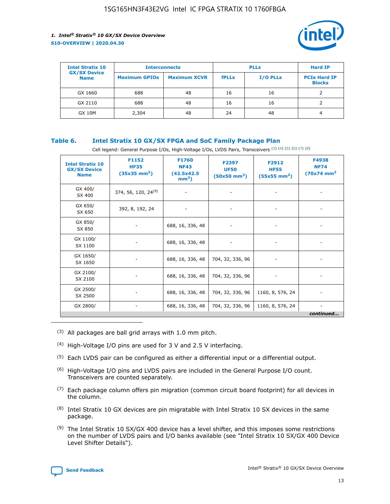

| <b>Intel Stratix 10</b>            | <b>Interconnects</b> |                     | <b>PLLs</b>  |                 | <b>Hard IP</b>                       |
|------------------------------------|----------------------|---------------------|--------------|-----------------|--------------------------------------|
| <b>GX/SX Device</b><br><b>Name</b> | <b>Maximum GPIOs</b> | <b>Maximum XCVR</b> | <b>fPLLs</b> | <b>I/O PLLs</b> | <b>PCIe Hard IP</b><br><b>Blocks</b> |
| GX 1660                            | 688                  | 48                  | 16           | 16              |                                      |
| GX 2110                            | 688                  | 48                  | 16           | 16              |                                      |
| <b>GX 10M</b>                      | 2,304                | 48                  | 24           | 48              | 4                                    |

## **Table 6. Intel Stratix 10 GX/SX FPGA and SoC Family Package Plan**

Cell legend: General Purpose I/Os, High-Voltage I/Os, LVDS Pairs, Transceivers (3) (4) (5) (6) (7) (8)

| <b>Intel Stratix 10</b><br><b>GX/SX Device</b><br><b>Name</b> | F1152<br><b>HF35</b><br>$(35x35 \text{ mm}^2)$ | <b>F1760</b><br><b>NF43</b><br>(42.5x42.5<br>$mm2$ ) | F2397<br><b>UF50</b><br>$(50x50 \text{ mm}^2)$ | F2912<br><b>HF55</b><br>$(55x55 \text{ mm}^2)$ | F4938<br><b>NF74</b><br>$(70x74)$ mm <sup>2</sup> |
|---------------------------------------------------------------|------------------------------------------------|------------------------------------------------------|------------------------------------------------|------------------------------------------------|---------------------------------------------------|
| GX 400/<br>SX 400                                             | 374, 56, 120, 24 <sup>(9)</sup>                | $\overline{\phantom{a}}$                             | $\overline{\phantom{a}}$                       |                                                |                                                   |
| GX 650/<br>SX 650                                             | 392, 8, 192, 24                                | ٠                                                    | $\overline{\phantom{a}}$                       |                                                |                                                   |
| GX 850/<br>SX 850                                             |                                                | 688, 16, 336, 48                                     |                                                |                                                |                                                   |
| GX 1100/<br>SX 1100                                           |                                                | 688, 16, 336, 48                                     |                                                |                                                |                                                   |
| GX 1650/<br>SX 1650                                           |                                                | 688, 16, 336, 48                                     | 704, 32, 336, 96                               |                                                |                                                   |
| GX 2100/<br>SX 2100                                           |                                                | 688, 16, 336, 48                                     | 704, 32, 336, 96                               | -                                              | ۰                                                 |
| GX 2500/<br>SX 2500                                           |                                                | 688, 16, 336, 48                                     | 704, 32, 336, 96                               | 1160, 8, 576, 24                               |                                                   |
| GX 2800/                                                      | $\overline{\phantom{a}}$                       | 688, 16, 336, 48                                     | 704, 32, 336, 96                               | 1160, 8, 576, 24                               | ٠<br>continued                                    |

- (3) All packages are ball grid arrays with 1.0 mm pitch.
- (4) High-Voltage I/O pins are used for 3 V and 2.5 V interfacing.
- $(5)$  Each LVDS pair can be configured as either a differential input or a differential output.
- (6) High-Voltage I/O pins and LVDS pairs are included in the General Purpose I/O count. Transceivers are counted separately.
- $(7)$  Each package column offers pin migration (common circuit board footprint) for all devices in the column.
- $(8)$  Intel Stratix 10 GX devices are pin migratable with Intel Stratix 10 SX devices in the same package.
- $(9)$  The Intel Stratix 10 SX/GX 400 device has a level shifter, and this imposes some restrictions on the number of LVDS pairs and I/O banks available (see "Intel Stratix 10 SX/GX 400 Device Level Shifter Details").

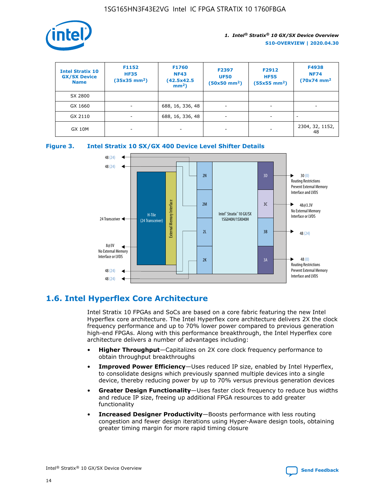

| <b>Intel Stratix 10</b><br><b>GX/SX Device</b><br><b>Name</b> | F1152<br><b>HF35</b><br>$(35x35 \text{ mm}^2)$ | F1760<br><b>NF43</b><br>(42.5x42.5<br>$mm2$ ) | F2397<br><b>UF50</b><br>$(50x50 \text{ mm}^2)$ | F2912<br><b>HF55</b><br>$(55x55$ mm <sup>2</sup> ) | F4938<br><b>NF74</b><br>$(70x74)$ mm <sup>2</sup> |
|---------------------------------------------------------------|------------------------------------------------|-----------------------------------------------|------------------------------------------------|----------------------------------------------------|---------------------------------------------------|
| SX 2800                                                       |                                                |                                               |                                                |                                                    |                                                   |
| GX 1660                                                       | ٠                                              | 688, 16, 336, 48                              | ٠                                              |                                                    |                                                   |
| GX 2110                                                       |                                                | 688, 16, 336, 48                              | $\overline{\phantom{a}}$                       |                                                    |                                                   |
| <b>GX 10M</b>                                                 | ۰                                              | -                                             | -                                              |                                                    | 2304, 32, 1152,<br>48                             |





## **1.6. Intel Hyperflex Core Architecture**

Intel Stratix 10 FPGAs and SoCs are based on a core fabric featuring the new Intel Hyperflex core architecture. The Intel Hyperflex core architecture delivers 2X the clock frequency performance and up to 70% lower power compared to previous generation high-end FPGAs. Along with this performance breakthrough, the Intel Hyperflex core architecture delivers a number of advantages including:

- **Higher Throughput**—Capitalizes on 2X core clock frequency performance to obtain throughput breakthroughs
- **Improved Power Efficiency**—Uses reduced IP size, enabled by Intel Hyperflex, to consolidate designs which previously spanned multiple devices into a single device, thereby reducing power by up to 70% versus previous generation devices
- **Greater Design Functionality**—Uses faster clock frequency to reduce bus widths and reduce IP size, freeing up additional FPGA resources to add greater functionality
- **Increased Designer Productivity**—Boosts performance with less routing congestion and fewer design iterations using Hyper-Aware design tools, obtaining greater timing margin for more rapid timing closure

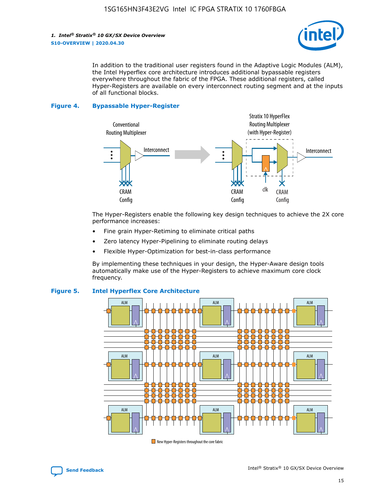

In addition to the traditional user registers found in the Adaptive Logic Modules (ALM), the Intel Hyperflex core architecture introduces additional bypassable registers everywhere throughout the fabric of the FPGA. These additional registers, called Hyper-Registers are available on every interconnect routing segment and at the inputs of all functional blocks.

#### **Figure 4. Bypassable Hyper-Register**



The Hyper-Registers enable the following key design techniques to achieve the 2X core performance increases:

- Fine grain Hyper-Retiming to eliminate critical paths
- Zero latency Hyper-Pipelining to eliminate routing delays
- Flexible Hyper-Optimization for best-in-class performance

By implementing these techniques in your design, the Hyper-Aware design tools automatically make use of the Hyper-Registers to achieve maximum core clock frequency.



## **Figure 5. Intel Hyperflex Core Architecture**

New Hyper-Registers throughout the core fabric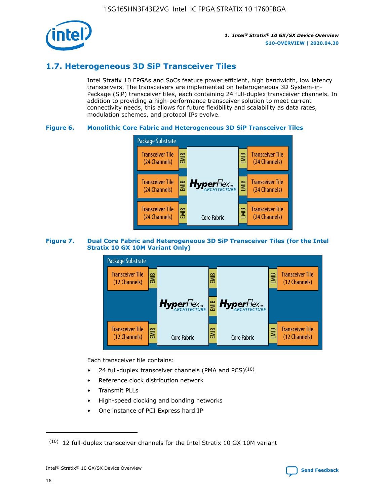

## **1.7. Heterogeneous 3D SiP Transceiver Tiles**

Intel Stratix 10 FPGAs and SoCs feature power efficient, high bandwidth, low latency transceivers. The transceivers are implemented on heterogeneous 3D System-in-Package (SiP) transceiver tiles, each containing 24 full-duplex transceiver channels. In addition to providing a high-performance transceiver solution to meet current connectivity needs, this allows for future flexibility and scalability as data rates, modulation schemes, and protocol IPs evolve.

## **Figure 6. Monolithic Core Fabric and Heterogeneous 3D SiP Transceiver Tiles**



## **Figure 7. Dual Core Fabric and Heterogeneous 3D SiP Transceiver Tiles (for the Intel Stratix 10 GX 10M Variant Only)**



Each transceiver tile contains:

- 24 full-duplex transceiver channels (PMA and PCS) $(10)$
- Reference clock distribution network
- Transmit PLLs
- High-speed clocking and bonding networks
- One instance of PCI Express hard IP

16

 $(10)$  12 full-duplex transceiver channels for the Intel Stratix 10 GX 10M variant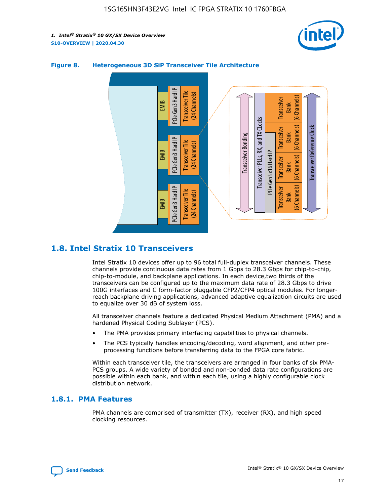



## **Figure 8. Heterogeneous 3D SiP Transceiver Tile Architecture**

## **1.8. Intel Stratix 10 Transceivers**

Intel Stratix 10 devices offer up to 96 total full-duplex transceiver channels. These channels provide continuous data rates from 1 Gbps to 28.3 Gbps for chip-to-chip, chip-to-module, and backplane applications. In each device,two thirds of the transceivers can be configured up to the maximum data rate of 28.3 Gbps to drive 100G interfaces and C form-factor pluggable CFP2/CFP4 optical modules. For longerreach backplane driving applications, advanced adaptive equalization circuits are used to equalize over 30 dB of system loss.

All transceiver channels feature a dedicated Physical Medium Attachment (PMA) and a hardened Physical Coding Sublayer (PCS).

- The PMA provides primary interfacing capabilities to physical channels.
- The PCS typically handles encoding/decoding, word alignment, and other preprocessing functions before transferring data to the FPGA core fabric.

Within each transceiver tile, the transceivers are arranged in four banks of six PMA-PCS groups. A wide variety of bonded and non-bonded data rate configurations are possible within each bank, and within each tile, using a highly configurable clock distribution network.

## **1.8.1. PMA Features**

PMA channels are comprised of transmitter (TX), receiver (RX), and high speed clocking resources.

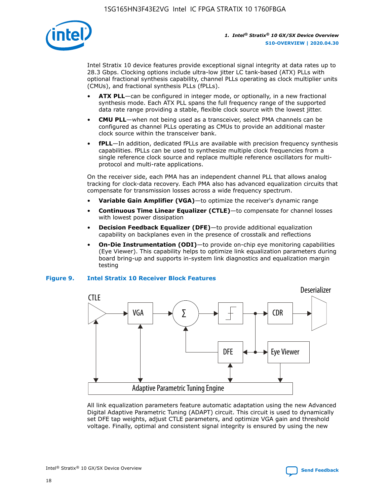

Intel Stratix 10 device features provide exceptional signal integrity at data rates up to 28.3 Gbps. Clocking options include ultra-low jitter LC tank-based (ATX) PLLs with optional fractional synthesis capability, channel PLLs operating as clock multiplier units (CMUs), and fractional synthesis PLLs (fPLLs).

- **ATX PLL**—can be configured in integer mode, or optionally, in a new fractional synthesis mode. Each ATX PLL spans the full frequency range of the supported data rate range providing a stable, flexible clock source with the lowest jitter.
- **CMU PLL**—when not being used as a transceiver, select PMA channels can be configured as channel PLLs operating as CMUs to provide an additional master clock source within the transceiver bank.
- **fPLL**—In addition, dedicated fPLLs are available with precision frequency synthesis capabilities. fPLLs can be used to synthesize multiple clock frequencies from a single reference clock source and replace multiple reference oscillators for multiprotocol and multi-rate applications.

On the receiver side, each PMA has an independent channel PLL that allows analog tracking for clock-data recovery. Each PMA also has advanced equalization circuits that compensate for transmission losses across a wide frequency spectrum.

- **Variable Gain Amplifier (VGA)**—to optimize the receiver's dynamic range
- **Continuous Time Linear Equalizer (CTLE)**—to compensate for channel losses with lowest power dissipation
- **Decision Feedback Equalizer (DFE)**—to provide additional equalization capability on backplanes even in the presence of crosstalk and reflections
- **On-Die Instrumentation (ODI)**—to provide on-chip eye monitoring capabilities (Eye Viewer). This capability helps to optimize link equalization parameters during board bring-up and supports in-system link diagnostics and equalization margin testing

#### **Figure 9. Intel Stratix 10 Receiver Block Features**



All link equalization parameters feature automatic adaptation using the new Advanced Digital Adaptive Parametric Tuning (ADAPT) circuit. This circuit is used to dynamically set DFE tap weights, adjust CTLE parameters, and optimize VGA gain and threshold voltage. Finally, optimal and consistent signal integrity is ensured by using the new

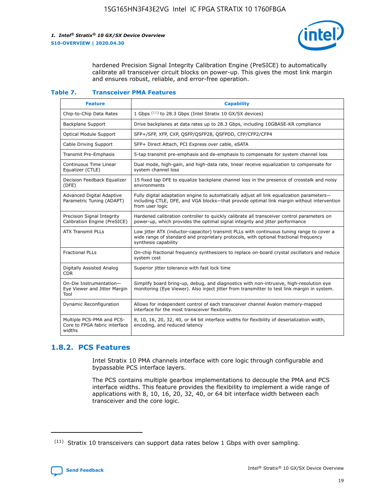

hardened Precision Signal Integrity Calibration Engine (PreSICE) to automatically calibrate all transceiver circuit blocks on power-up. This gives the most link margin and ensures robust, reliable, and error-free operation.

#### **Table 7. Transceiver PMA Features**

| <b>Feature</b>                                                       | <b>Capability</b>                                                                                                                                                                                         |
|----------------------------------------------------------------------|-----------------------------------------------------------------------------------------------------------------------------------------------------------------------------------------------------------|
| Chip-to-Chip Data Rates                                              | 1 Gbps (11) to 28.3 Gbps (Intel Stratix 10 GX/SX devices)                                                                                                                                                 |
| <b>Backplane Support</b>                                             | Drive backplanes at data rates up to 28.3 Gbps, including 10GBASE-KR compliance                                                                                                                           |
| Optical Module Support                                               | SFP+/SFP, XFP, CXP, QSFP/QSFP28, QSFPDD, CFP/CFP2/CFP4                                                                                                                                                    |
| Cable Driving Support                                                | SFP+ Direct Attach, PCI Express over cable, eSATA                                                                                                                                                         |
| <b>Transmit Pre-Emphasis</b>                                         | 5-tap transmit pre-emphasis and de-emphasis to compensate for system channel loss                                                                                                                         |
| Continuous Time Linear<br>Equalizer (CTLE)                           | Dual mode, high-gain, and high-data rate, linear receive equalization to compensate for<br>system channel loss                                                                                            |
| Decision Feedback Equalizer<br>(DFE)                                 | 15 fixed tap DFE to equalize backplane channel loss in the presence of crosstalk and noisy<br>environments                                                                                                |
| Advanced Digital Adaptive<br>Parametric Tuning (ADAPT)               | Fully digital adaptation engine to automatically adjust all link equalization parameters-<br>including CTLE, DFE, and VGA blocks-that provide optimal link margin without intervention<br>from user logic |
| Precision Signal Integrity<br>Calibration Engine (PreSICE)           | Hardened calibration controller to quickly calibrate all transceiver control parameters on<br>power-up, which provides the optimal signal integrity and jitter performance                                |
| <b>ATX Transmit PLLs</b>                                             | Low jitter ATX (inductor-capacitor) transmit PLLs with continuous tuning range to cover a<br>wide range of standard and proprietary protocols, with optional fractional frequency<br>synthesis capability |
| <b>Fractional PLLs</b>                                               | On-chip fractional frequency synthesizers to replace on-board crystal oscillators and reduce<br>system cost                                                                                               |
| Digitally Assisted Analog<br>CDR.                                    | Superior jitter tolerance with fast lock time                                                                                                                                                             |
| On-Die Instrumentation-<br>Eye Viewer and Jitter Margin<br>Tool      | Simplify board bring-up, debug, and diagnostics with non-intrusive, high-resolution eye<br>monitoring (Eye Viewer). Also inject jitter from transmitter to test link margin in system.                    |
| Dynamic Reconfiguration                                              | Allows for independent control of each transceiver channel Avalon memory-mapped<br>interface for the most transceiver flexibility.                                                                        |
| Multiple PCS-PMA and PCS-<br>Core to FPGA fabric interface<br>widths | 8, 10, 16, 20, 32, 40, or 64 bit interface widths for flexibility of deserialization width,<br>encoding, and reduced latency                                                                              |

## **1.8.2. PCS Features**

Intel Stratix 10 PMA channels interface with core logic through configurable and bypassable PCS interface layers.

The PCS contains multiple gearbox implementations to decouple the PMA and PCS interface widths. This feature provides the flexibility to implement a wide range of applications with 8, 10, 16, 20, 32, 40, or 64 bit interface width between each transceiver and the core logic.

 $(11)$  Stratix 10 transceivers can support data rates below 1 Gbps with over sampling.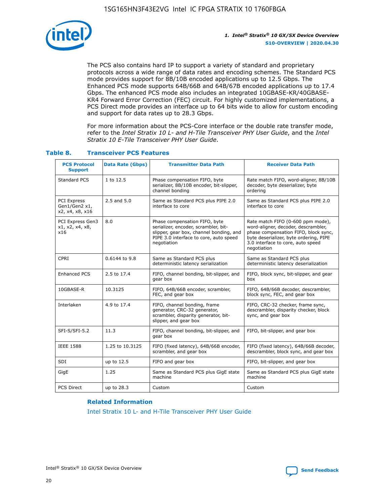

The PCS also contains hard IP to support a variety of standard and proprietary protocols across a wide range of data rates and encoding schemes. The Standard PCS mode provides support for 8B/10B encoded applications up to 12.5 Gbps. The Enhanced PCS mode supports 64B/66B and 64B/67B encoded applications up to 17.4 Gbps. The enhanced PCS mode also includes an integrated 10GBASE-KR/40GBASE-KR4 Forward Error Correction (FEC) circuit. For highly customized implementations, a PCS Direct mode provides an interface up to 64 bits wide to allow for custom encoding and support for data rates up to 28.3 Gbps.

For more information about the PCS-Core interface or the double rate transfer mode, refer to the *Intel Stratix 10 L- and H-Tile Transceiver PHY User Guide*, and the *Intel Stratix 10 E-Tile Transceiver PHY User Guide*.

| <b>PCS Protocol</b><br><b>Support</b>                  | <b>Data Rate (Gbps)</b> | <b>Transmitter Data Path</b>                                                                                                                                              | <b>Receiver Data Path</b>                                                                                                                                                                                      |
|--------------------------------------------------------|-------------------------|---------------------------------------------------------------------------------------------------------------------------------------------------------------------------|----------------------------------------------------------------------------------------------------------------------------------------------------------------------------------------------------------------|
| Standard PCS                                           | 1 to 12.5               | Phase compensation FIFO, byte<br>serializer, 8B/10B encoder, bit-slipper,<br>channel bonding                                                                              | Rate match FIFO, word-aligner, 8B/10B<br>decoder, byte deserializer, byte<br>ordering                                                                                                                          |
| <b>PCI Express</b><br>Gen1/Gen2 x1,<br>x2, x4, x8, x16 | $2.5$ and $5.0$         | Same as Standard PCS plus PIPE 2.0<br>interface to core                                                                                                                   | Same as Standard PCS plus PIPE 2.0<br>interface to core                                                                                                                                                        |
| PCI Express Gen3<br>x1, x2, x4, x8,<br>x16             | 8.0                     | Phase compensation FIFO, byte<br>serializer, encoder, scrambler, bit-<br>slipper, gear box, channel bonding, and<br>PIPE 3.0 interface to core, auto speed<br>negotiation | Rate match FIFO (0-600 ppm mode),<br>word-aligner, decoder, descrambler,<br>phase compensation FIFO, block sync,<br>byte deserializer, byte ordering, PIPE<br>3.0 interface to core, auto speed<br>negotiation |
| CPRI                                                   | 0.6144 to 9.8           | Same as Standard PCS plus<br>deterministic latency serialization                                                                                                          | Same as Standard PCS plus<br>deterministic latency deserialization                                                                                                                                             |
| <b>Enhanced PCS</b>                                    | 2.5 to 17.4             | FIFO, channel bonding, bit-slipper, and<br>gear box                                                                                                                       | FIFO, block sync, bit-slipper, and gear<br>box                                                                                                                                                                 |
| 10GBASE-R                                              | 10.3125                 | FIFO, 64B/66B encoder, scrambler,<br>FEC, and gear box                                                                                                                    | FIFO, 64B/66B decoder, descrambler,<br>block sync, FEC, and gear box                                                                                                                                           |
| Interlaken                                             | 4.9 to 17.4             | FIFO, channel bonding, frame<br>generator, CRC-32 generator,<br>scrambler, disparity generator, bit-<br>slipper, and gear box                                             | FIFO, CRC-32 checker, frame sync,<br>descrambler, disparity checker, block<br>sync, and gear box                                                                                                               |
| SFI-S/SFI-5.2                                          | 11.3                    | FIFO, channel bonding, bit-slipper, and<br>gear box                                                                                                                       | FIFO, bit-slipper, and gear box                                                                                                                                                                                |
| <b>IEEE 1588</b>                                       | 1.25 to 10.3125         | FIFO (fixed latency), 64B/66B encoder,<br>scrambler, and gear box                                                                                                         | FIFO (fixed latency), 64B/66B decoder,<br>descrambler, block sync, and gear box                                                                                                                                |
| SDI                                                    | up to 12.5              | FIFO and gear box                                                                                                                                                         | FIFO, bit-slipper, and gear box                                                                                                                                                                                |
| GigE                                                   | 1.25                    | Same as Standard PCS plus GigE state<br>machine                                                                                                                           | Same as Standard PCS plus GigE state<br>machine                                                                                                                                                                |
| <b>PCS Direct</b>                                      | up to 28.3              | Custom                                                                                                                                                                    | Custom                                                                                                                                                                                                         |

## **Table 8. Transceiver PCS Features**

#### **Related Information**

[Intel Stratix 10 L- and H-Tile Transceiver PHY User Guide](https://www.altera.com/documentation/wry1479165198810.html)



Intel<sup>®</sup> Stratix<sup>®</sup> 10 GX/SX Device Overview **[Send Feedback](mailto:FPGAtechdocfeedback@intel.com?subject=Feedback%20on%20Intel%20Stratix%2010%20GX/SX%20Device%20Overview%20(S10-OVERVIEW%202020.04.30)&body=We%20appreciate%20your%20feedback.%20In%20your%20comments,%20also%20specify%20the%20page%20number%20or%20paragraph.%20Thank%20you.)** Send Feedback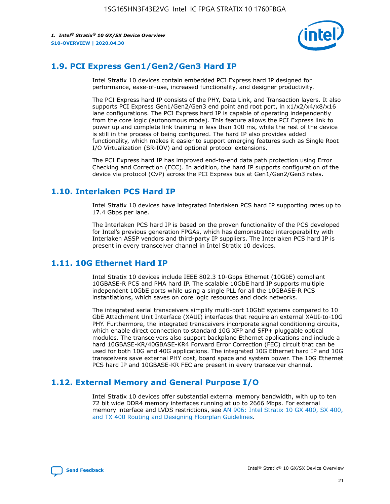

## **1.9. PCI Express Gen1/Gen2/Gen3 Hard IP**

Intel Stratix 10 devices contain embedded PCI Express hard IP designed for performance, ease-of-use, increased functionality, and designer productivity.

The PCI Express hard IP consists of the PHY, Data Link, and Transaction layers. It also supports PCI Express Gen1/Gen2/Gen3 end point and root port, in x1/x2/x4/x8/x16 lane configurations. The PCI Express hard IP is capable of operating independently from the core logic (autonomous mode). This feature allows the PCI Express link to power up and complete link training in less than 100 ms, while the rest of the device is still in the process of being configured. The hard IP also provides added functionality, which makes it easier to support emerging features such as Single Root I/O Virtualization (SR-IOV) and optional protocol extensions.

The PCI Express hard IP has improved end-to-end data path protection using Error Checking and Correction (ECC). In addition, the hard IP supports configuration of the device via protocol (CvP) across the PCI Express bus at Gen1/Gen2/Gen3 rates.

## **1.10. Interlaken PCS Hard IP**

Intel Stratix 10 devices have integrated Interlaken PCS hard IP supporting rates up to 17.4 Gbps per lane.

The Interlaken PCS hard IP is based on the proven functionality of the PCS developed for Intel's previous generation FPGAs, which has demonstrated interoperability with Interlaken ASSP vendors and third-party IP suppliers. The Interlaken PCS hard IP is present in every transceiver channel in Intel Stratix 10 devices.

## **1.11. 10G Ethernet Hard IP**

Intel Stratix 10 devices include IEEE 802.3 10-Gbps Ethernet (10GbE) compliant 10GBASE-R PCS and PMA hard IP. The scalable 10GbE hard IP supports multiple independent 10GbE ports while using a single PLL for all the 10GBASE-R PCS instantiations, which saves on core logic resources and clock networks.

The integrated serial transceivers simplify multi-port 10GbE systems compared to 10 GbE Attachment Unit Interface (XAUI) interfaces that require an external XAUI-to-10G PHY. Furthermore, the integrated transceivers incorporate signal conditioning circuits, which enable direct connection to standard 10G XFP and SFP+ pluggable optical modules. The transceivers also support backplane Ethernet applications and include a hard 10GBASE-KR/40GBASE-KR4 Forward Error Correction (FEC) circuit that can be used for both 10G and 40G applications. The integrated 10G Ethernet hard IP and 10G transceivers save external PHY cost, board space and system power. The 10G Ethernet PCS hard IP and 10GBASE-KR FEC are present in every transceiver channel.

## **1.12. External Memory and General Purpose I/O**

Intel Stratix 10 devices offer substantial external memory bandwidth, with up to ten 72 bit wide DDR4 memory interfaces running at up to 2666 Mbps. For external memory interface and LVDS restrictions, see [AN 906: Intel Stratix 10 GX 400, SX 400,](https://www.intel.com/content/www/us/en/programmable/documentation/sjf1574667190623.html#bft1574667627484) [and TX 400 Routing and Designing Floorplan Guidelines.](https://www.intel.com/content/www/us/en/programmable/documentation/sjf1574667190623.html#bft1574667627484)

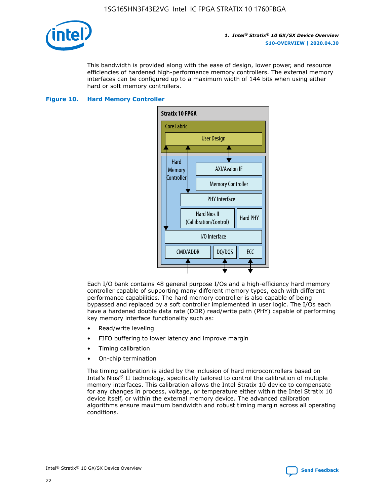

This bandwidth is provided along with the ease of design, lower power, and resource efficiencies of hardened high-performance memory controllers. The external memory interfaces can be configured up to a maximum width of 144 bits when using either hard or soft memory controllers.

## **Figure 10. Hard Memory Controller**



Each I/O bank contains 48 general purpose I/Os and a high-efficiency hard memory controller capable of supporting many different memory types, each with different performance capabilities. The hard memory controller is also capable of being bypassed and replaced by a soft controller implemented in user logic. The I/Os each have a hardened double data rate (DDR) read/write path (PHY) capable of performing key memory interface functionality such as:

- Read/write leveling
- FIFO buffering to lower latency and improve margin
- Timing calibration
- On-chip termination

The timing calibration is aided by the inclusion of hard microcontrollers based on Intel's Nios® II technology, specifically tailored to control the calibration of multiple memory interfaces. This calibration allows the Intel Stratix 10 device to compensate for any changes in process, voltage, or temperature either within the Intel Stratix 10 device itself, or within the external memory device. The advanced calibration algorithms ensure maximum bandwidth and robust timing margin across all operating conditions.

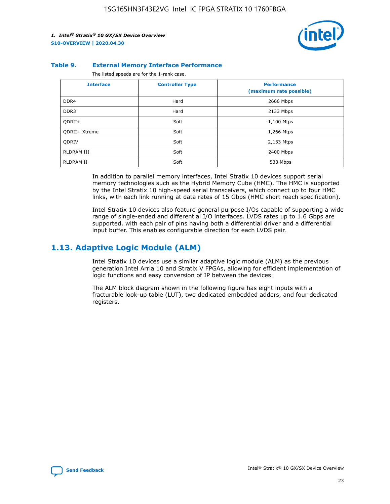

#### **Table 9. External Memory Interface Performance**

The listed speeds are for the 1-rank case.

| <b>Interface</b>     | <b>Controller Type</b> | <b>Performance</b><br>(maximum rate possible) |
|----------------------|------------------------|-----------------------------------------------|
| DDR4                 | Hard                   | 2666 Mbps                                     |
| DDR <sub>3</sub>     | Hard                   | 2133 Mbps                                     |
| QDRII+               | Soft                   | 1,100 Mtps                                    |
| <b>ODRII+ Xtreme</b> | Soft                   | 1,266 Mtps                                    |
| <b>ODRIV</b>         | Soft                   | 2,133 Mtps                                    |
| RLDRAM III           | Soft                   | 2400 Mbps                                     |
| <b>RLDRAM II</b>     | Soft                   | 533 Mbps                                      |

In addition to parallel memory interfaces, Intel Stratix 10 devices support serial memory technologies such as the Hybrid Memory Cube (HMC). The HMC is supported by the Intel Stratix 10 high-speed serial transceivers, which connect up to four HMC links, with each link running at data rates of 15 Gbps (HMC short reach specification).

Intel Stratix 10 devices also feature general purpose I/Os capable of supporting a wide range of single-ended and differential I/O interfaces. LVDS rates up to 1.6 Gbps are supported, with each pair of pins having both a differential driver and a differential input buffer. This enables configurable direction for each LVDS pair.

## **1.13. Adaptive Logic Module (ALM)**

Intel Stratix 10 devices use a similar adaptive logic module (ALM) as the previous generation Intel Arria 10 and Stratix V FPGAs, allowing for efficient implementation of logic functions and easy conversion of IP between the devices.

The ALM block diagram shown in the following figure has eight inputs with a fracturable look-up table (LUT), two dedicated embedded adders, and four dedicated registers.

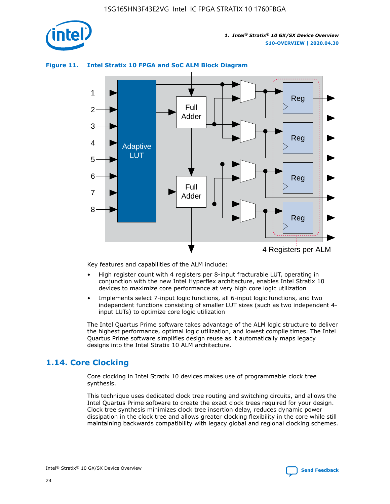

## **Figure 11. Intel Stratix 10 FPGA and SoC ALM Block Diagram**



Key features and capabilities of the ALM include:

- High register count with 4 registers per 8-input fracturable LUT, operating in conjunction with the new Intel Hyperflex architecture, enables Intel Stratix 10 devices to maximize core performance at very high core logic utilization
- Implements select 7-input logic functions, all 6-input logic functions, and two independent functions consisting of smaller LUT sizes (such as two independent 4 input LUTs) to optimize core logic utilization

The Intel Quartus Prime software takes advantage of the ALM logic structure to deliver the highest performance, optimal logic utilization, and lowest compile times. The Intel Quartus Prime software simplifies design reuse as it automatically maps legacy designs into the Intel Stratix 10 ALM architecture.

## **1.14. Core Clocking**

Core clocking in Intel Stratix 10 devices makes use of programmable clock tree synthesis.

This technique uses dedicated clock tree routing and switching circuits, and allows the Intel Quartus Prime software to create the exact clock trees required for your design. Clock tree synthesis minimizes clock tree insertion delay, reduces dynamic power dissipation in the clock tree and allows greater clocking flexibility in the core while still maintaining backwards compatibility with legacy global and regional clocking schemes.

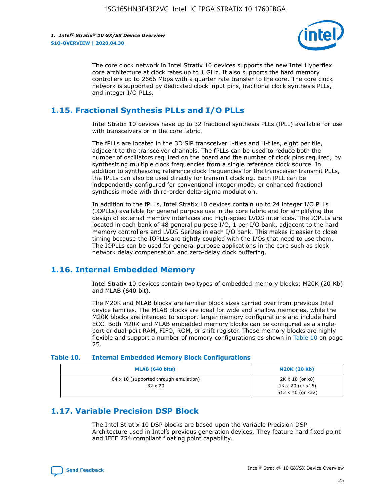

The core clock network in Intel Stratix 10 devices supports the new Intel Hyperflex core architecture at clock rates up to 1 GHz. It also supports the hard memory controllers up to 2666 Mbps with a quarter rate transfer to the core. The core clock network is supported by dedicated clock input pins, fractional clock synthesis PLLs, and integer I/O PLLs.

## **1.15. Fractional Synthesis PLLs and I/O PLLs**

Intel Stratix 10 devices have up to 32 fractional synthesis PLLs (fPLL) available for use with transceivers or in the core fabric.

The fPLLs are located in the 3D SiP transceiver L-tiles and H-tiles, eight per tile, adjacent to the transceiver channels. The fPLLs can be used to reduce both the number of oscillators required on the board and the number of clock pins required, by synthesizing multiple clock frequencies from a single reference clock source. In addition to synthesizing reference clock frequencies for the transceiver transmit PLLs, the fPLLs can also be used directly for transmit clocking. Each fPLL can be independently configured for conventional integer mode, or enhanced fractional synthesis mode with third-order delta-sigma modulation.

In addition to the fPLLs, Intel Stratix 10 devices contain up to 24 integer I/O PLLs (IOPLLs) available for general purpose use in the core fabric and for simplifying the design of external memory interfaces and high-speed LVDS interfaces. The IOPLLs are located in each bank of 48 general purpose I/O, 1 per I/O bank, adjacent to the hard memory controllers and LVDS SerDes in each I/O bank. This makes it easier to close timing because the IOPLLs are tightly coupled with the I/Os that need to use them. The IOPLLs can be used for general purpose applications in the core such as clock network delay compensation and zero-delay clock buffering.

## **1.16. Internal Embedded Memory**

Intel Stratix 10 devices contain two types of embedded memory blocks: M20K (20 Kb) and MLAB (640 bit).

The M20K and MLAB blocks are familiar block sizes carried over from previous Intel device families. The MLAB blocks are ideal for wide and shallow memories, while the M20K blocks are intended to support larger memory configurations and include hard ECC. Both M20K and MLAB embedded memory blocks can be configured as a singleport or dual-port RAM, FIFO, ROM, or shift register. These memory blocks are highly flexible and support a number of memory configurations as shown in Table 10 on page 25.

#### **Table 10. Internal Embedded Memory Block Configurations**

| MLAB (640 bits)                                                | <b>M20K (20 Kb)</b>                                                                    |
|----------------------------------------------------------------|----------------------------------------------------------------------------------------|
| $64 \times 10$ (supported through emulation)<br>$32 \times 20$ | $2K \times 10$ (or $x8$ )<br>$1K \times 20$ (or $x16$ )<br>$512 \times 40$ (or $x32$ ) |

## **1.17. Variable Precision DSP Block**

The Intel Stratix 10 DSP blocks are based upon the Variable Precision DSP Architecture used in Intel's previous generation devices. They feature hard fixed point and IEEE 754 compliant floating point capability.

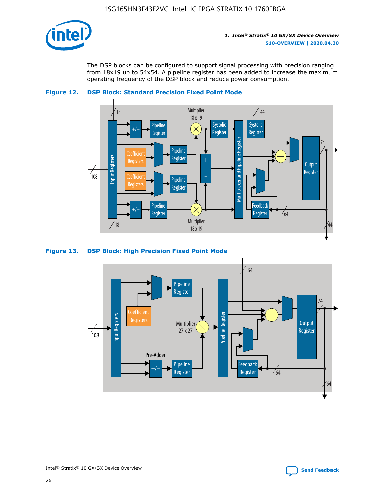

The DSP blocks can be configured to support signal processing with precision ranging from 18x19 up to 54x54. A pipeline register has been added to increase the maximum operating frequency of the DSP block and reduce power consumption.





#### **Figure 13. DSP Block: High Precision Fixed Point Mode**

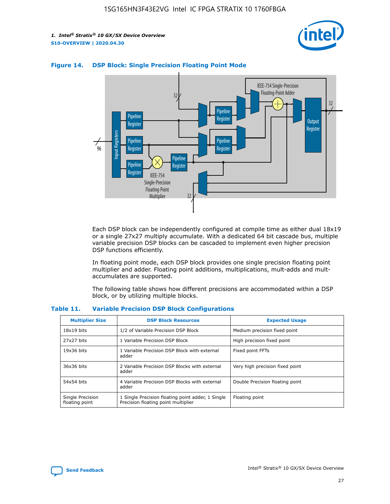



## **Figure 14. DSP Block: Single Precision Floating Point Mode**

Each DSP block can be independently configured at compile time as either dual 18x19 or a single 27x27 multiply accumulate. With a dedicated 64 bit cascade bus, multiple variable precision DSP blocks can be cascaded to implement even higher precision DSP functions efficiently.

In floating point mode, each DSP block provides one single precision floating point multiplier and adder. Floating point additions, multiplications, mult-adds and multaccumulates are supported.

The following table shows how different precisions are accommodated within a DSP block, or by utilizing multiple blocks.

| <b>Multiplier Size</b>             | <b>DSP Block Resources</b>                                                               | <b>Expected Usage</b>           |
|------------------------------------|------------------------------------------------------------------------------------------|---------------------------------|
| $18x19$ bits                       | 1/2 of Variable Precision DSP Block                                                      | Medium precision fixed point    |
| 27x27 bits                         | 1 Variable Precision DSP Block                                                           | High precision fixed point      |
| $19x36$ bits                       | 1 Variable Precision DSP Block with external<br>adder                                    | Fixed point FFTs                |
| 36x36 bits                         | 2 Variable Precision DSP Blocks with external<br>adder                                   | Very high precision fixed point |
| 54x54 bits                         | 4 Variable Precision DSP Blocks with external<br>adder                                   | Double Precision floating point |
| Single Precision<br>floating point | 1 Single Precision floating point adder, 1 Single<br>Precision floating point multiplier | Floating point                  |

#### **Table 11. Variable Precision DSP Block Configurations**

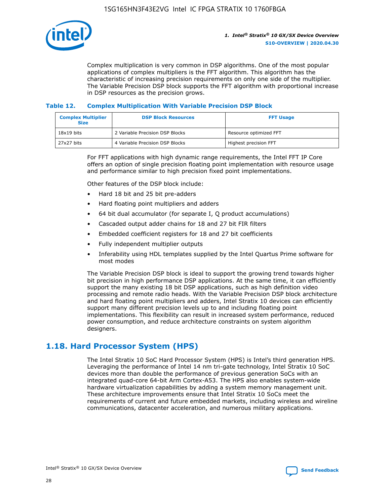

Complex multiplication is very common in DSP algorithms. One of the most popular applications of complex multipliers is the FFT algorithm. This algorithm has the characteristic of increasing precision requirements on only one side of the multiplier. The Variable Precision DSP block supports the FFT algorithm with proportional increase in DSP resources as the precision grows.

## **Table 12. Complex Multiplication With Variable Precision DSP Block**

| <b>Complex Multiplier</b><br><b>Size</b> | <b>DSP Block Resources</b>      | <b>FFT Usage</b>       |
|------------------------------------------|---------------------------------|------------------------|
| $18x19$ bits                             | 2 Variable Precision DSP Blocks | Resource optimized FFT |
| $27x27$ bits                             | 4 Variable Precision DSP Blocks | Highest precision FFT  |

For FFT applications with high dynamic range requirements, the Intel FFT IP Core offers an option of single precision floating point implementation with resource usage and performance similar to high precision fixed point implementations.

Other features of the DSP block include:

- Hard 18 bit and 25 bit pre-adders
- Hard floating point multipliers and adders
- 64 bit dual accumulator (for separate I, Q product accumulations)
- Cascaded output adder chains for 18 and 27 bit FIR filters
- Embedded coefficient registers for 18 and 27 bit coefficients
- Fully independent multiplier outputs
- Inferability using HDL templates supplied by the Intel Quartus Prime software for most modes

The Variable Precision DSP block is ideal to support the growing trend towards higher bit precision in high performance DSP applications. At the same time, it can efficiently support the many existing 18 bit DSP applications, such as high definition video processing and remote radio heads. With the Variable Precision DSP block architecture and hard floating point multipliers and adders, Intel Stratix 10 devices can efficiently support many different precision levels up to and including floating point implementations. This flexibility can result in increased system performance, reduced power consumption, and reduce architecture constraints on system algorithm designers.

## **1.18. Hard Processor System (HPS)**

The Intel Stratix 10 SoC Hard Processor System (HPS) is Intel's third generation HPS. Leveraging the performance of Intel 14 nm tri-gate technology, Intel Stratix 10 SoC devices more than double the performance of previous generation SoCs with an integrated quad-core 64-bit Arm Cortex-A53. The HPS also enables system-wide hardware virtualization capabilities by adding a system memory management unit. These architecture improvements ensure that Intel Stratix 10 SoCs meet the requirements of current and future embedded markets, including wireless and wireline communications, datacenter acceleration, and numerous military applications.

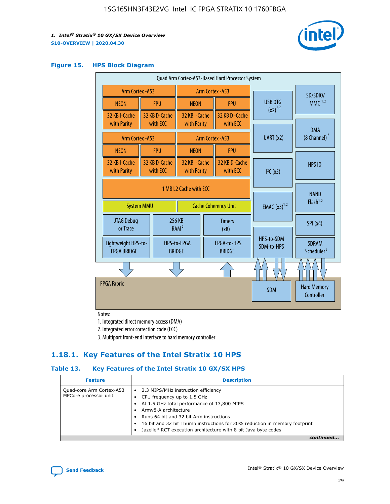

## **Figure 15. HPS Block Diagram**

| Quad Arm Cortex-A53-Based Hard Processor System |                        |                           |                                                     |  |                              |                          |                                     |                                        |
|-------------------------------------------------|------------------------|---------------------------|-----------------------------------------------------|--|------------------------------|--------------------------|-------------------------------------|----------------------------------------|
| <b>Arm Cortex - A53</b>                         |                        |                           | Arm Cortex - A53                                    |  |                              |                          | SD/SDIO/                            |                                        |
| <b>NEON</b>                                     |                        | <b>FPU</b>                | <b>NEON</b>                                         |  | <b>FPU</b>                   |                          | USB OTG                             | $MMC$ <sup>1,2</sup>                   |
| 32 KB I-Cache                                   |                        | 32 KB D-Cache             | 32 KB I-Cache                                       |  | 32 KB D - Cache              |                          | $(x2)^{1,2}$                        |                                        |
| with Parity                                     |                        | with ECC                  | with Parity                                         |  | with ECC                     |                          |                                     | <b>DMA</b>                             |
| Arm Cortex - A53                                |                        |                           | Arm Cortex - A53                                    |  | UART (x2)                    | $(8 \text{ Channel})^2$  |                                     |                                        |
| <b>NEON</b>                                     |                        | <b>FPU</b>                | <b>NEON</b>                                         |  | <b>FPU</b>                   |                          |                                     |                                        |
| 32 KB I-Cache<br>with Parity                    |                        | 32 KB D-Cache<br>with ECC | 32 KB I-Cache<br>with Parity                        |  | 32 KB D-Cache<br>with ECC    |                          | I <sup>2</sup> C(x5)                | <b>HPS 10</b>                          |
|                                                 | 1 MB L2 Cache with ECC |                           |                                                     |  |                              |                          |                                     |                                        |
| <b>System MMU</b>                               |                        |                           | <b>Cache Coherency Unit</b>                         |  |                              | <b>EMAC</b> $(x3)^{1,2}$ | <b>NAND</b><br>Flash <sup>1,2</sup> |                                        |
| JTAG Debug<br>or Trace                          |                        |                           | 256 KB<br><b>Timers</b><br>RAM <sup>2</sup><br>(x8) |  |                              |                          | SPI(x4)                             |                                        |
| Lightweight HPS-to-<br><b>FPGA BRIDGE</b>       |                        |                           | HPS-to-FPGA<br><b>BRIDGE</b>                        |  | FPGA-to-HPS<br><b>BRIDGE</b> |                          | HPS-to-SDM<br>SDM-to-HPS            | <b>SDRAM</b><br>Scheduler <sup>3</sup> |
|                                                 |                        |                           |                                                     |  |                              |                          |                                     |                                        |
| <b>FPGA Fabric</b>                              |                        |                           |                                                     |  |                              |                          | <b>SDM</b>                          | <b>Hard Memory</b><br>Controller       |
|                                                 |                        |                           |                                                     |  |                              |                          |                                     |                                        |

Notes:

1. Integrated direct memory access (DMA)

2. Integrated error correction code (ECC)

3. Multiport front-end interface to hard memory controller

## **1.18.1. Key Features of the Intel Stratix 10 HPS**

## **Table 13. Key Features of the Intel Stratix 10 GX/SX HPS**

| <b>Feature</b>                                    | <b>Description</b>                                                                                                                                                                                                                                                                                                                     |
|---------------------------------------------------|----------------------------------------------------------------------------------------------------------------------------------------------------------------------------------------------------------------------------------------------------------------------------------------------------------------------------------------|
| Quad-core Arm Cortex-A53<br>MPCore processor unit | • 2.3 MIPS/MHz instruction efficiency<br>CPU frequency up to 1.5 GHz<br>At 1.5 GHz total performance of 13,800 MIPS<br>Army8-A architecture<br>Runs 64 bit and 32 bit Arm instructions<br>16 bit and 32 bit Thumb instructions for 30% reduction in memory footprint<br>Jazelle* RCT execution architecture with 8 bit Java byte codes |
|                                                   |                                                                                                                                                                                                                                                                                                                                        |

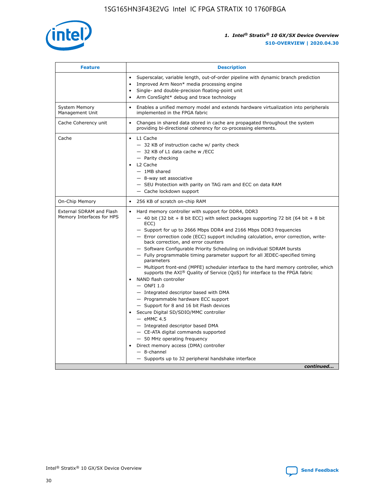

| <b>Feature</b>                                        | <b>Description</b>                                                                                                                                                                                                                                                                                                                                                                                                                                                                                                                                                                                                                                                                                                                                                                                                                                                                                                                                                                                                                                                                                                                                                                                                       |
|-------------------------------------------------------|--------------------------------------------------------------------------------------------------------------------------------------------------------------------------------------------------------------------------------------------------------------------------------------------------------------------------------------------------------------------------------------------------------------------------------------------------------------------------------------------------------------------------------------------------------------------------------------------------------------------------------------------------------------------------------------------------------------------------------------------------------------------------------------------------------------------------------------------------------------------------------------------------------------------------------------------------------------------------------------------------------------------------------------------------------------------------------------------------------------------------------------------------------------------------------------------------------------------------|
|                                                       | Superscalar, variable length, out-of-order pipeline with dynamic branch prediction<br>Improved Arm Neon* media processing engine<br>$\bullet$<br>Single- and double-precision floating-point unit<br>Arm CoreSight* debug and trace technology                                                                                                                                                                                                                                                                                                                                                                                                                                                                                                                                                                                                                                                                                                                                                                                                                                                                                                                                                                           |
| <b>System Memory</b><br>Management Unit               | Enables a unified memory model and extends hardware virtualization into peripherals<br>implemented in the FPGA fabric                                                                                                                                                                                                                                                                                                                                                                                                                                                                                                                                                                                                                                                                                                                                                                                                                                                                                                                                                                                                                                                                                                    |
| Cache Coherency unit                                  | Changes in shared data stored in cache are propagated throughout the system<br>$\bullet$<br>providing bi-directional coherency for co-processing elements.                                                                                                                                                                                                                                                                                                                                                                                                                                                                                                                                                                                                                                                                                                                                                                                                                                                                                                                                                                                                                                                               |
| Cache                                                 | • L1 Cache<br>- 32 KB of instruction cache w/ parity check<br>- 32 KB of L1 data cache w /ECC<br>- Parity checking<br>L2 Cache<br>$-$ 1MB shared<br>- 8-way set associative<br>- SEU Protection with parity on TAG ram and ECC on data RAM<br>- Cache lockdown support                                                                                                                                                                                                                                                                                                                                                                                                                                                                                                                                                                                                                                                                                                                                                                                                                                                                                                                                                   |
| On-Chip Memory                                        | 256 KB of scratch on-chip RAM                                                                                                                                                                                                                                                                                                                                                                                                                                                                                                                                                                                                                                                                                                                                                                                                                                                                                                                                                                                                                                                                                                                                                                                            |
| External SDRAM and Flash<br>Memory Interfaces for HPS | Hard memory controller with support for DDR4, DDR3<br>$\bullet$<br>$-$ 40 bit (32 bit + 8 bit ECC) with select packages supporting 72 bit (64 bit + 8 bit<br>ECC)<br>- Support for up to 2666 Mbps DDR4 and 2166 Mbps DDR3 frequencies<br>- Error correction code (ECC) support including calculation, error correction, write-<br>back correction, and error counters<br>- Software Configurable Priority Scheduling on individual SDRAM bursts<br>- Fully programmable timing parameter support for all JEDEC-specified timing<br>parameters<br>- Multiport front-end (MPFE) scheduler interface to the hard memory controller, which<br>supports the $AXI^{\circledR}$ Quality of Service (QoS) for interface to the FPGA fabric<br>NAND flash controller<br>$-$ ONFI 1.0<br>- Integrated descriptor based with DMA<br>- Programmable hardware ECC support<br>- Support for 8 and 16 bit Flash devices<br>Secure Digital SD/SDIO/MMC controller<br>$-$ eMMC 4.5<br>- Integrated descriptor based DMA<br>- CE-ATA digital commands supported<br>- 50 MHz operating frequency<br>Direct memory access (DMA) controller<br>$\bullet$<br>$-$ 8-channel<br>- Supports up to 32 peripheral handshake interface<br>continued |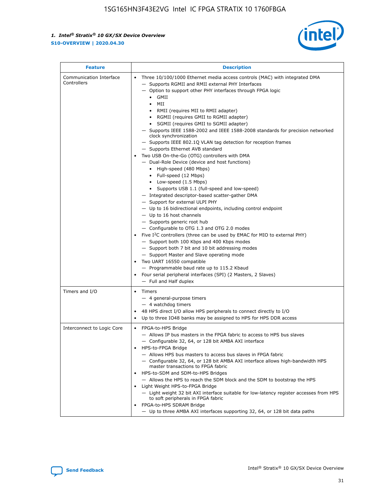

| <b>Feature</b>                         | <b>Description</b>                                                                                                                                                                                                                                                                                                                                                                                                                                                                                                                                                                                                                                                                                                                                                                                                                                                                                                                                                                                                                                                                                                                                                                                                                                                                                                                                                                                                                                                                                                     |
|----------------------------------------|------------------------------------------------------------------------------------------------------------------------------------------------------------------------------------------------------------------------------------------------------------------------------------------------------------------------------------------------------------------------------------------------------------------------------------------------------------------------------------------------------------------------------------------------------------------------------------------------------------------------------------------------------------------------------------------------------------------------------------------------------------------------------------------------------------------------------------------------------------------------------------------------------------------------------------------------------------------------------------------------------------------------------------------------------------------------------------------------------------------------------------------------------------------------------------------------------------------------------------------------------------------------------------------------------------------------------------------------------------------------------------------------------------------------------------------------------------------------------------------------------------------------|
| Communication Interface<br>Controllers | Three 10/100/1000 Ethernet media access controls (MAC) with integrated DMA<br>$\bullet$<br>- Supports RGMII and RMII external PHY Interfaces<br>- Option to support other PHY interfaces through FPGA logic<br>$\bullet$ GMII<br>MII<br>$\bullet$<br>RMII (requires MII to RMII adapter)<br>$\bullet$<br>• RGMII (requires GMII to RGMII adapter)<br>SGMII (requires GMII to SGMII adapter)<br>- Supports IEEE 1588-2002 and IEEE 1588-2008 standards for precision networked<br>clock synchronization<br>- Supports IEEE 802.1Q VLAN tag detection for reception frames<br>- Supports Ethernet AVB standard<br>Two USB On-the-Go (OTG) controllers with DMA<br>- Dual-Role Device (device and host functions)<br>• High-speed (480 Mbps)<br>• Full-speed (12 Mbps)<br>• Low-speed (1.5 Mbps)<br>• Supports USB 1.1 (full-speed and low-speed)<br>- Integrated descriptor-based scatter-gather DMA<br>- Support for external ULPI PHY<br>- Up to 16 bidirectional endpoints, including control endpoint<br>$-$ Up to 16 host channels<br>- Supports generic root hub<br>- Configurable to OTG 1.3 and OTG 2.0 modes<br>Five $I2C$ controllers (three can be used by EMAC for MIO to external PHY)<br>- Support both 100 Kbps and 400 Kbps modes<br>- Support both 7 bit and 10 bit addressing modes<br>- Support Master and Slave operating mode<br>Two UART 16550 compatible<br>- Programmable baud rate up to 115.2 Kbaud<br>Four serial peripheral interfaces (SPI) (2 Masters, 2 Slaves)<br>- Full and Half duplex |
| Timers and I/O                         | Timers<br>$\bullet$<br>- 4 general-purpose timers<br>$-4$ watchdog timers<br>48 HPS direct I/O allow HPS peripherals to connect directly to I/O<br>Up to three IO48 banks may be assigned to HPS for HPS DDR access                                                                                                                                                                                                                                                                                                                                                                                                                                                                                                                                                                                                                                                                                                                                                                                                                                                                                                                                                                                                                                                                                                                                                                                                                                                                                                    |
| Interconnect to Logic Core             | • FPGA-to-HPS Bridge<br>- Allows IP bus masters in the FPGA fabric to access to HPS bus slaves<br>- Configurable 32, 64, or 128 bit AMBA AXI interface<br>HPS-to-FPGA Bridge<br>- Allows HPS bus masters to access bus slaves in FPGA fabric<br>- Configurable 32, 64, or 128 bit AMBA AXI interface allows high-bandwidth HPS<br>master transactions to FPGA fabric<br>HPS-to-SDM and SDM-to-HPS Bridges<br>- Allows the HPS to reach the SDM block and the SDM to bootstrap the HPS<br>Light Weight HPS-to-FPGA Bridge<br>- Light weight 32 bit AXI interface suitable for low-latency register accesses from HPS<br>to soft peripherals in FPGA fabric<br>FPGA-to-HPS SDRAM Bridge<br>- Up to three AMBA AXI interfaces supporting 32, 64, or 128 bit data paths                                                                                                                                                                                                                                                                                                                                                                                                                                                                                                                                                                                                                                                                                                                                                    |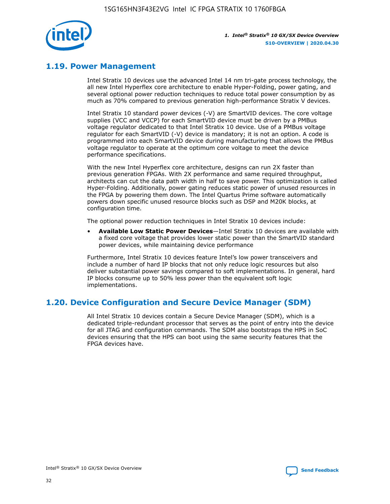

## **1.19. Power Management**

Intel Stratix 10 devices use the advanced Intel 14 nm tri-gate process technology, the all new Intel Hyperflex core architecture to enable Hyper-Folding, power gating, and several optional power reduction techniques to reduce total power consumption by as much as 70% compared to previous generation high-performance Stratix V devices.

Intel Stratix 10 standard power devices (-V) are SmartVID devices. The core voltage supplies (VCC and VCCP) for each SmartVID device must be driven by a PMBus voltage regulator dedicated to that Intel Stratix 10 device. Use of a PMBus voltage regulator for each SmartVID (-V) device is mandatory; it is not an option. A code is programmed into each SmartVID device during manufacturing that allows the PMBus voltage regulator to operate at the optimum core voltage to meet the device performance specifications.

With the new Intel Hyperflex core architecture, designs can run 2X faster than previous generation FPGAs. With 2X performance and same required throughput, architects can cut the data path width in half to save power. This optimization is called Hyper-Folding. Additionally, power gating reduces static power of unused resources in the FPGA by powering them down. The Intel Quartus Prime software automatically powers down specific unused resource blocks such as DSP and M20K blocks, at configuration time.

The optional power reduction techniques in Intel Stratix 10 devices include:

• **Available Low Static Power Devices**—Intel Stratix 10 devices are available with a fixed core voltage that provides lower static power than the SmartVID standard power devices, while maintaining device performance

Furthermore, Intel Stratix 10 devices feature Intel's low power transceivers and include a number of hard IP blocks that not only reduce logic resources but also deliver substantial power savings compared to soft implementations. In general, hard IP blocks consume up to 50% less power than the equivalent soft logic implementations.

## **1.20. Device Configuration and Secure Device Manager (SDM)**

All Intel Stratix 10 devices contain a Secure Device Manager (SDM), which is a dedicated triple-redundant processor that serves as the point of entry into the device for all JTAG and configuration commands. The SDM also bootstraps the HPS in SoC devices ensuring that the HPS can boot using the same security features that the FPGA devices have.

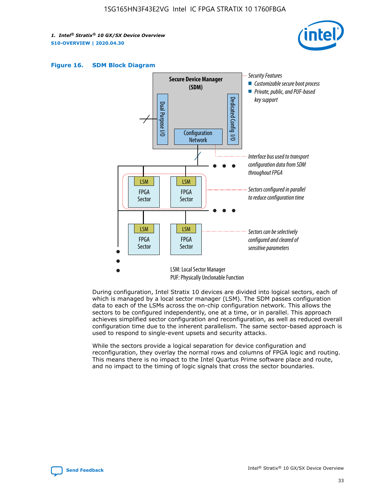





During configuration, Intel Stratix 10 devices are divided into logical sectors, each of which is managed by a local sector manager (LSM). The SDM passes configuration data to each of the LSMs across the on-chip configuration network. This allows the sectors to be configured independently, one at a time, or in parallel. This approach achieves simplified sector configuration and reconfiguration, as well as reduced overall configuration time due to the inherent parallelism. The same sector-based approach is used to respond to single-event upsets and security attacks.

While the sectors provide a logical separation for device configuration and reconfiguration, they overlay the normal rows and columns of FPGA logic and routing. This means there is no impact to the Intel Quartus Prime software place and route, and no impact to the timing of logic signals that cross the sector boundaries.

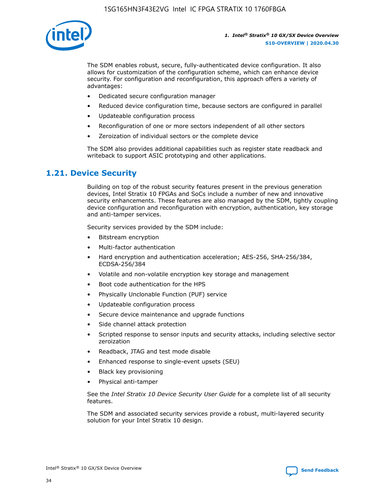

The SDM enables robust, secure, fully-authenticated device configuration. It also allows for customization of the configuration scheme, which can enhance device security. For configuration and reconfiguration, this approach offers a variety of advantages:

- Dedicated secure configuration manager
- Reduced device configuration time, because sectors are configured in parallel
- Updateable configuration process
- Reconfiguration of one or more sectors independent of all other sectors
- Zeroization of individual sectors or the complete device

The SDM also provides additional capabilities such as register state readback and writeback to support ASIC prototyping and other applications.

## **1.21. Device Security**

Building on top of the robust security features present in the previous generation devices, Intel Stratix 10 FPGAs and SoCs include a number of new and innovative security enhancements. These features are also managed by the SDM, tightly coupling device configuration and reconfiguration with encryption, authentication, key storage and anti-tamper services.

Security services provided by the SDM include:

- Bitstream encryption
- Multi-factor authentication
- Hard encryption and authentication acceleration; AES-256, SHA-256/384, ECDSA-256/384
- Volatile and non-volatile encryption key storage and management
- Boot code authentication for the HPS
- Physically Unclonable Function (PUF) service
- Updateable configuration process
- Secure device maintenance and upgrade functions
- Side channel attack protection
- Scripted response to sensor inputs and security attacks, including selective sector zeroization
- Readback, JTAG and test mode disable
- Enhanced response to single-event upsets (SEU)
- Black key provisioning
- Physical anti-tamper

See the *Intel Stratix 10 Device Security User Guide* for a complete list of all security features.

The SDM and associated security services provide a robust, multi-layered security solution for your Intel Stratix 10 design.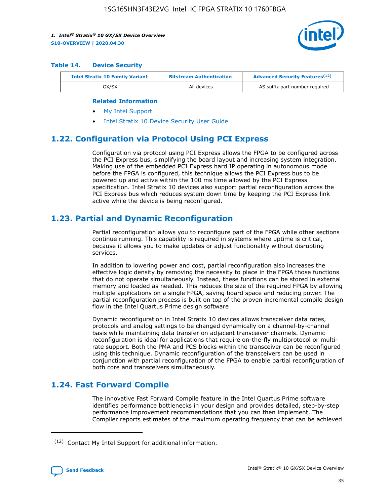

#### **Table 14. Device Security**

| <b>Intel Stratix 10 Family Variant</b> | <b>Bitstream Authentication</b> | <b>Advanced Security Features</b> <sup>(12)</sup> |
|----------------------------------------|---------------------------------|---------------------------------------------------|
| GX/SX                                  | All devices                     | -AS suffix part number required                   |

#### **Related Information**

- [My Intel Support](https://www.intel.com/content/www/us/en/programmable/my-intel/mal-home.html)
- [Intel Stratix 10 Device Security User Guide](https://www.intel.com/content/www/us/en/programmable/documentation/ndq1483601370898.html#wcd1483611014402)

## **1.22. Configuration via Protocol Using PCI Express**

Configuration via protocol using PCI Express allows the FPGA to be configured across the PCI Express bus, simplifying the board layout and increasing system integration. Making use of the embedded PCI Express hard IP operating in autonomous mode before the FPGA is configured, this technique allows the PCI Express bus to be powered up and active within the 100 ms time allowed by the PCI Express specification. Intel Stratix 10 devices also support partial reconfiguration across the PCI Express bus which reduces system down time by keeping the PCI Express link active while the device is being reconfigured.

## **1.23. Partial and Dynamic Reconfiguration**

Partial reconfiguration allows you to reconfigure part of the FPGA while other sections continue running. This capability is required in systems where uptime is critical, because it allows you to make updates or adjust functionality without disrupting services.

In addition to lowering power and cost, partial reconfiguration also increases the effective logic density by removing the necessity to place in the FPGA those functions that do not operate simultaneously. Instead, these functions can be stored in external memory and loaded as needed. This reduces the size of the required FPGA by allowing multiple applications on a single FPGA, saving board space and reducing power. The partial reconfiguration process is built on top of the proven incremental compile design flow in the Intel Quartus Prime design software

Dynamic reconfiguration in Intel Stratix 10 devices allows transceiver data rates, protocols and analog settings to be changed dynamically on a channel-by-channel basis while maintaining data transfer on adjacent transceiver channels. Dynamic reconfiguration is ideal for applications that require on-the-fly multiprotocol or multirate support. Both the PMA and PCS blocks within the transceiver can be reconfigured using this technique. Dynamic reconfiguration of the transceivers can be used in conjunction with partial reconfiguration of the FPGA to enable partial reconfiguration of both core and transceivers simultaneously.

## **1.24. Fast Forward Compile**

The innovative Fast Forward Compile feature in the Intel Quartus Prime software identifies performance bottlenecks in your design and provides detailed, step-by-step performance improvement recommendations that you can then implement. The Compiler reports estimates of the maximum operating frequency that can be achieved

<sup>(12)</sup> Contact My Intel Support for additional information.

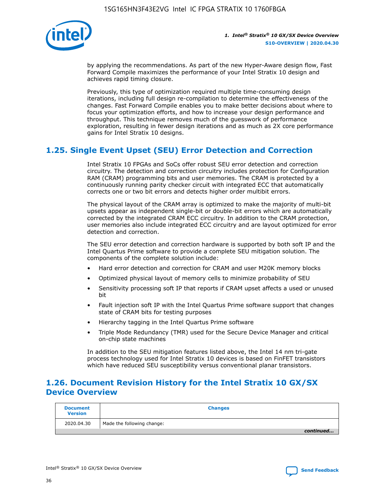

by applying the recommendations. As part of the new Hyper-Aware design flow, Fast Forward Compile maximizes the performance of your Intel Stratix 10 design and achieves rapid timing closure.

Previously, this type of optimization required multiple time-consuming design iterations, including full design re-compilation to determine the effectiveness of the changes. Fast Forward Compile enables you to make better decisions about where to focus your optimization efforts, and how to increase your design performance and throughput. This technique removes much of the guesswork of performance exploration, resulting in fewer design iterations and as much as 2X core performance gains for Intel Stratix 10 designs.

## **1.25. Single Event Upset (SEU) Error Detection and Correction**

Intel Stratix 10 FPGAs and SoCs offer robust SEU error detection and correction circuitry. The detection and correction circuitry includes protection for Configuration RAM (CRAM) programming bits and user memories. The CRAM is protected by a continuously running parity checker circuit with integrated ECC that automatically corrects one or two bit errors and detects higher order multibit errors.

The physical layout of the CRAM array is optimized to make the majority of multi-bit upsets appear as independent single-bit or double-bit errors which are automatically corrected by the integrated CRAM ECC circuitry. In addition to the CRAM protection, user memories also include integrated ECC circuitry and are layout optimized for error detection and correction.

The SEU error detection and correction hardware is supported by both soft IP and the Intel Quartus Prime software to provide a complete SEU mitigation solution. The components of the complete solution include:

- Hard error detection and correction for CRAM and user M20K memory blocks
- Optimized physical layout of memory cells to minimize probability of SEU
- Sensitivity processing soft IP that reports if CRAM upset affects a used or unused bit
- Fault injection soft IP with the Intel Quartus Prime software support that changes state of CRAM bits for testing purposes
- Hierarchy tagging in the Intel Quartus Prime software
- Triple Mode Redundancy (TMR) used for the Secure Device Manager and critical on-chip state machines

In addition to the SEU mitigation features listed above, the Intel 14 nm tri-gate process technology used for Intel Stratix 10 devices is based on FinFET transistors which have reduced SEU susceptibility versus conventional planar transistors.

## **1.26. Document Revision History for the Intel Stratix 10 GX/SX Device Overview**

| <b>Document</b><br><b>Version</b> | <b>Changes</b>             |
|-----------------------------------|----------------------------|
| 2020.04.30                        | Made the following change: |
|                                   | continued                  |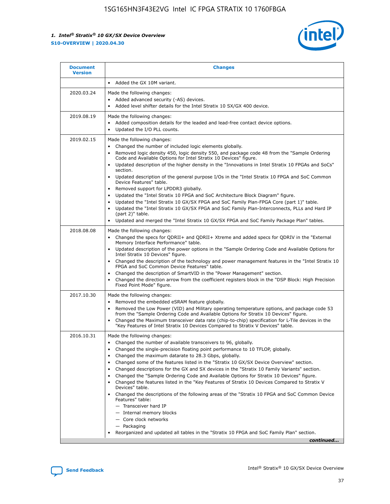

| <b>Document</b><br><b>Version</b> | <b>Changes</b>                                                                                                                                                                                                                                                                                                                                                                                                                                                                                                                                                                                                                                                                                                                                                                                                                                                                                                                                                                                              |
|-----------------------------------|-------------------------------------------------------------------------------------------------------------------------------------------------------------------------------------------------------------------------------------------------------------------------------------------------------------------------------------------------------------------------------------------------------------------------------------------------------------------------------------------------------------------------------------------------------------------------------------------------------------------------------------------------------------------------------------------------------------------------------------------------------------------------------------------------------------------------------------------------------------------------------------------------------------------------------------------------------------------------------------------------------------|
|                                   | Added the GX 10M variant.                                                                                                                                                                                                                                                                                                                                                                                                                                                                                                                                                                                                                                                                                                                                                                                                                                                                                                                                                                                   |
| 2020.03.24                        | Made the following changes:<br>Added advanced security (-AS) devices.<br>Added level shifter details for the Intel Stratix 10 SX/GX 400 device.                                                                                                                                                                                                                                                                                                                                                                                                                                                                                                                                                                                                                                                                                                                                                                                                                                                             |
| 2019.08.19                        | Made the following changes:<br>Added composition details for the leaded and lead-free contact device options.<br>$\bullet$<br>Updated the I/O PLL counts.                                                                                                                                                                                                                                                                                                                                                                                                                                                                                                                                                                                                                                                                                                                                                                                                                                                   |
| 2019.02.15                        | Made the following changes:<br>Changed the number of included logic elements globally.<br>$\bullet$<br>Removed logic density 450, logic density 550, and package code 48 from the "Sample Ordering<br>$\bullet$<br>Code and Available Options for Intel Stratix 10 Devices" figure.<br>Updated description of the higher density in the "Innovations in Intel Stratix 10 FPGAs and SoCs"<br>section.<br>Updated description of the general purpose I/Os in the "Intel Stratix 10 FPGA and SoC Common<br>$\bullet$<br>Device Features" table.<br>Removed support for LPDDR3 globally.<br>Updated the "Intel Stratix 10 FPGA and SoC Architecture Block Diagram" figure.<br>$\bullet$<br>Updated the "Intel Stratix 10 GX/SX FPGA and SoC Family Plan-FPGA Core (part 1)" table.<br>$\bullet$<br>Updated the "Intel Stratix 10 GX/SX FPGA and SoC Family Plan-Interconnects, PLLs and Hard IP<br>(part 2)" table.<br>Updated and merged the "Intel Stratix 10 GX/SX FPGA and SoC Family Package Plan" tables. |
| 2018.08.08                        | Made the following changes:<br>Changed the specs for QDRII+ and QDRII+ Xtreme and added specs for QDRIV in the "External<br>$\bullet$<br>Memory Interface Performance" table.<br>Updated description of the power options in the "Sample Ordering Code and Available Options for<br>Intel Stratix 10 Devices" figure.<br>Changed the description of the technology and power management features in the "Intel Stratix 10<br>FPGA and SoC Common Device Features" table.<br>Changed the description of SmartVID in the "Power Management" section.<br>Changed the direction arrow from the coefficient registers block in the "DSP Block: High Precision<br>$\bullet$<br>Fixed Point Mode" figure.                                                                                                                                                                                                                                                                                                          |
| 2017.10.30                        | Made the following changes:<br>Removed the embedded eSRAM feature globally.<br>$\bullet$<br>Removed the Low Power (VID) and Military operating temperature options, and package code 53<br>$\bullet$<br>from the "Sample Ordering Code and Available Options for Stratix 10 Devices" figure.<br>Changed the Maximum transceiver data rate (chip-to-chip) specification for L-Tile devices in the<br>"Key Features of Intel Stratix 10 Devices Compared to Stratix V Devices" table.                                                                                                                                                                                                                                                                                                                                                                                                                                                                                                                         |
| 2016.10.31                        | Made the following changes:<br>• Changed the number of available transceivers to 96, globally.<br>Changed the single-precision floating point performance to 10 TFLOP, globally.<br>Changed the maximum datarate to 28.3 Gbps, globally.<br>٠<br>Changed some of the features listed in the "Stratix 10 GX/SX Device Overview" section.<br>$\bullet$<br>Changed descriptions for the GX and SX devices in the "Stratix 10 Family Variants" section.<br>$\bullet$<br>Changed the "Sample Ordering Code and Available Options for Stratix 10 Devices" figure.<br>Changed the features listed in the "Key Features of Stratix 10 Devices Compared to Stratix V<br>Devices" table.<br>Changed the descriptions of the following areas of the "Stratix 10 FPGA and SoC Common Device<br>Features" table:<br>- Transceiver hard IP<br>- Internal memory blocks<br>- Core clock networks<br>- Packaging<br>Reorganized and updated all tables in the "Stratix 10 FPGA and SoC Family Plan" section.                |
|                                   | continued                                                                                                                                                                                                                                                                                                                                                                                                                                                                                                                                                                                                                                                                                                                                                                                                                                                                                                                                                                                                   |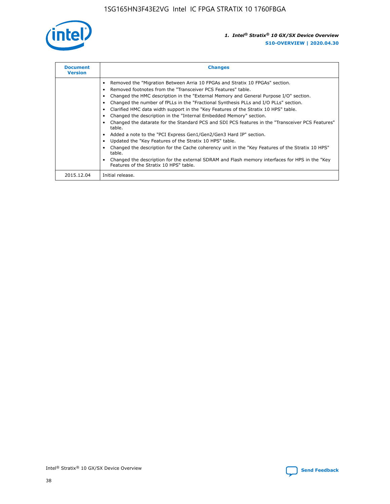

| <b>Document</b><br><b>Version</b> | <b>Changes</b>                                                                                                                                                                                                                                                                                                                                                                                                                                                                                                                                                                                                                                                                                                                                                                                                                                                                                                                                                                                     |
|-----------------------------------|----------------------------------------------------------------------------------------------------------------------------------------------------------------------------------------------------------------------------------------------------------------------------------------------------------------------------------------------------------------------------------------------------------------------------------------------------------------------------------------------------------------------------------------------------------------------------------------------------------------------------------------------------------------------------------------------------------------------------------------------------------------------------------------------------------------------------------------------------------------------------------------------------------------------------------------------------------------------------------------------------|
|                                   | Removed the "Migration Between Arria 10 FPGAs and Stratix 10 FPGAs" section.<br>Removed footnotes from the "Transceiver PCS Features" table.<br>Changed the HMC description in the "External Memory and General Purpose I/O" section.<br>Changed the number of fPLLs in the "Fractional Synthesis PLLs and I/O PLLs" section.<br>Clarified HMC data width support in the "Key Features of the Stratix 10 HPS" table.<br>Changed the description in the "Internal Embedded Memory" section.<br>Changed the datarate for the Standard PCS and SDI PCS features in the "Transceiver PCS Features"<br>table.<br>Added a note to the "PCI Express Gen1/Gen2/Gen3 Hard IP" section.<br>Updated the "Key Features of the Stratix 10 HPS" table.<br>Changed the description for the Cache coherency unit in the "Key Features of the Stratix 10 HPS"<br>table.<br>Changed the description for the external SDRAM and Flash memory interfaces for HPS in the "Key<br>Features of the Stratix 10 HPS" table. |
| 2015.12.04                        | Initial release.                                                                                                                                                                                                                                                                                                                                                                                                                                                                                                                                                                                                                                                                                                                                                                                                                                                                                                                                                                                   |